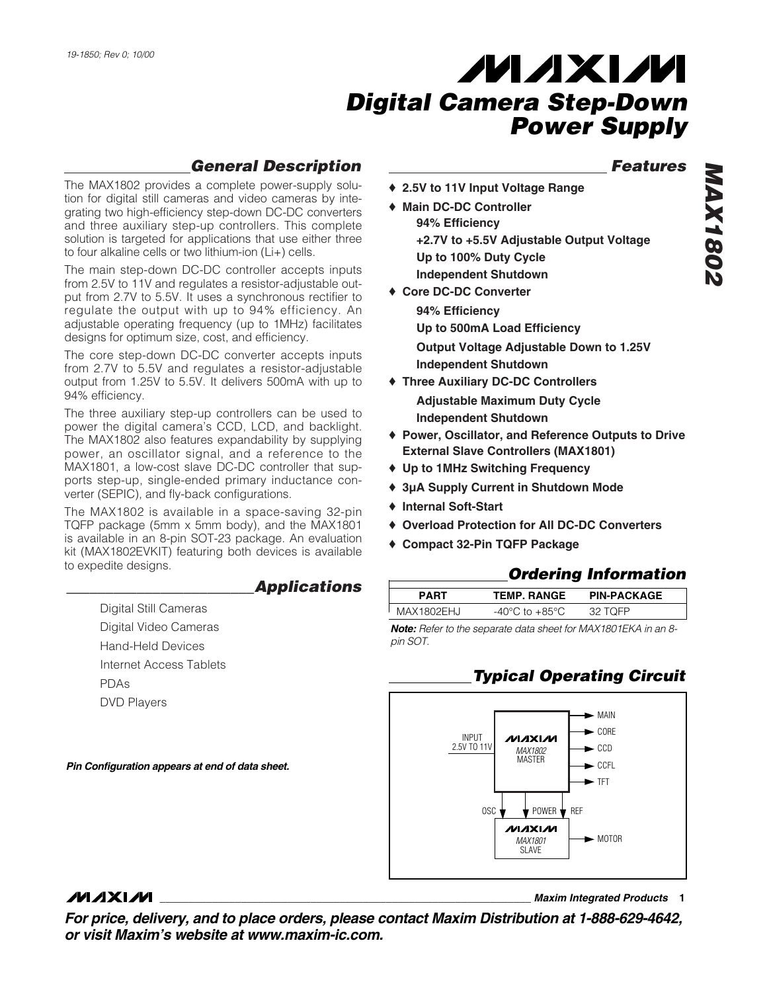### *General Description*

The MAX1802 provides a complete power-supply solution for digital still cameras and video cameras by integrating two high-efficiency step-down DC-DC converters and three auxiliary step-up controllers. This complete solution is targeted for applications that use either three to four alkaline cells or two lithium-ion (Li+) cells.

The main step-down DC-DC controller accepts inputs from 2.5V to 11V and regulates a resistor-adjustable output from 2.7V to 5.5V. It uses a synchronous rectifier to regulate the output with up to 94% efficiency. An adjustable operating frequency (up to 1MHz) facilitates designs for optimum size, cost, and efficiency.

The core step-down DC-DC converter accepts inputs from 2.7V to 5.5V and regulates a resistor-adjustable output from 1.25V to 5.5V. It delivers 500mA with up to 94% efficiency.

The three auxiliary step-up controllers can be used to power the digital camera's CCD, LCD, and backlight. The MAX1802 also features expandability by supplying power, an oscillator signal, and a reference to the MAX1801, a low-cost slave DC-DC controller that supports step-up, single-ended primary inductance converter (SEPIC), and fly-back configurations.

The MAX1802 is available in a space-saving 32-pin TQFP package (5mm x 5mm body), and the MAX1801 is available in an 8-pin SOT-23 package. An evaluation kit (MAX1802EVKIT) featuring both devices is available to expedite designs.

### *\_\_\_\_\_\_\_\_\_\_\_\_\_\_\_\_\_\_\_\_\_\_\_\_Applications*

Digital Still Cameras Digital Video Cameras Hand-Held Devices Internet Access Tablets PDAs DVD Players

*Pin Configuration appears at end of data sheet.*

### *Features*

- ♦ **2.5V to 11V Input Voltage Range**
- ♦ **Main DC-DC Controller 94% Efficiency +2.7V to +5.5V Adjustable Output Voltage Up to 100% Duty Cycle Independent Shutdown**
- ♦ **Core DC-DC Converter**
	- **94% Efficiency Up to 500mA Load Efficiency Output Voltage Adjustable Down to 1.25V Independent Shutdown**
- ♦ **Three Auxiliary DC-DC Controllers Adjustable Maximum Duty Cycle Independent Shutdown**
- ♦ **Power, Oscillator, and Reference Outputs to Drive External Slave Controllers (MAX1801)**
- ♦ **Up to 1MHz Switching Frequency**
- ♦ **3µA Supply Current in Shutdown Mode**
- ♦ **Internal Soft-Start**
- ♦ **Overload Protection for All DC-DC Converters**
- ♦ **Compact 32-Pin TQFP Package**

### *Ordering Information*

| PART       | <b>TEMP. RANGE</b> | <b>PIN-PACKAGE</b> |  |
|------------|--------------------|--------------------|--|
| MAX1802EHJ | -40°C to +85°C.    | 32 TOFP            |  |

*Note: Refer to the separate data sheet for MAX1801EKA in an 8 pin SOT.*

## *Typical Operating Circuit*



### **MAXIM**

**\_\_\_\_\_\_\_\_\_\_\_\_\_\_\_\_\_\_\_\_\_\_\_\_\_\_\_\_\_\_\_\_\_\_\_\_\_\_\_\_\_\_\_\_\_\_\_\_\_\_\_\_\_\_\_\_\_\_\_\_\_\_\_\_** *Maxim Integrated Products* **1**

*For price, delivery, and to place orders, please contact Maxim Distribution at 1-888-629-4642, or visit Maxim's website at www.maxim-ic.com.*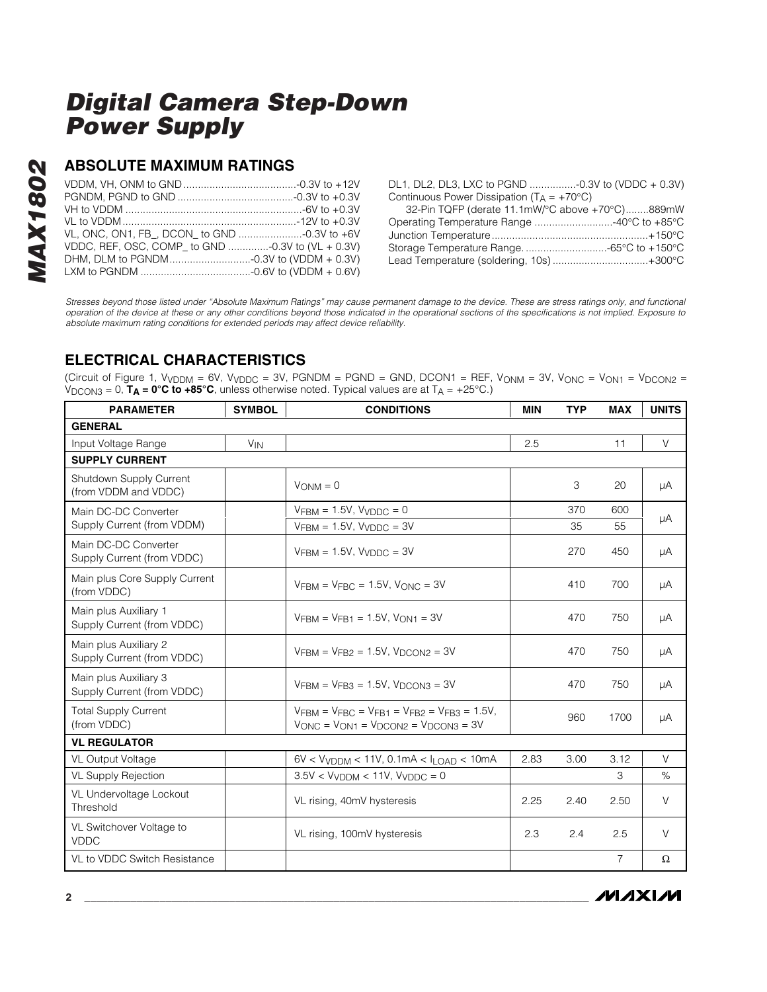### **ABSOLUTE MAXIMUM RATINGS**

| VL, ONC, ON1, FB_, DCON_ to GND -0.3V to +6V      |  |
|---------------------------------------------------|--|
| VDDC, REF, OSC, COMP_ to GND -0.3V to (VL + 0.3V) |  |
|                                                   |  |
|                                                   |  |

DL1, DL2, DL3, LXC to PGND ................-0.3V to (VDDC + 0.3V) Continuous Power Dissipation  $(T_A = +70^{\circ}C)$ 32-Pin TQFP (derate 11.1mW/°C above +70°C)........889mW Operating Temperature Range ...........................-40°C to +85°C Junction Temperature......................................................+150°C Storage Temperature Range. ............................-65°C to +150°C Lead Temperature (soldering, 10s) .................................+300°C

*Stresses beyond those listed under "Absolute Maximum Ratings" may cause permanent damage to the device. These are stress ratings only, and functional operation of the device at these or any other conditions beyond those indicated in the operational sections of the specifications is not implied. Exposure to absolute maximum rating conditions for extended periods may affect device reliability.*

### **ELECTRICAL CHARACTERISTICS**

(Circuit of Figure 1,  $V_{VDDM} = 6V$ ,  $V_{VDDC} = 3V$ ,  $PGNDM = PGND = GND$ ,  $DCON1 = REF$ ,  $V_{ONM} = 3V$ ,  $V_{ONC} = V_{ON1} = V_{DCON2} = 3V$ V<sub>DCON3</sub> = 0,  $T_A = 0^\circ C$  to +85°C, unless otherwise noted. Typical values are at  $T_A = +25^\circ C$ .)

| <b>PARAMETER</b>                                    | <b>SYMBOL</b> | <b>CONDITIONS</b>                                                                                         | <b>MIN</b> | <b>TYP</b> | <b>MAX</b>     | <b>UNITS</b> |
|-----------------------------------------------------|---------------|-----------------------------------------------------------------------------------------------------------|------------|------------|----------------|--------------|
| <b>GENERAL</b>                                      |               |                                                                                                           |            |            |                |              |
| Input Voltage Range                                 | $V_{IN}$      |                                                                                                           | 2.5        |            | 11             | $\vee$       |
| <b>SUPPLY CURRENT</b>                               |               |                                                                                                           |            |            |                |              |
| Shutdown Supply Current<br>(from VDDM and VDDC)     |               | $V_{ONM} = 0$                                                                                             |            | 3          | 20             | μA           |
| Main DC-DC Converter                                |               | $VFBM = 1.5V$ , $VVDDC = 0$                                                                               |            | 370        | 600            |              |
| Supply Current (from VDDM)                          |               | $VFBM = 1.5V$ , $VVDDC = 3V$                                                                              |            | 35         | 55             | μA           |
| Main DC-DC Converter<br>Supply Current (from VDDC)  |               | $V$ FRM = 1.5V, $V$ vDDC = 3V                                                                             |            | 270        | 450            | μA           |
| Main plus Core Supply Current<br>(from VDDC)        |               | $VFBM = VFBC = 1.5V$ , $VONC = 3V$                                                                        |            | 410        | 700            | μA           |
| Main plus Auxiliary 1<br>Supply Current (from VDDC) |               | $V$ FRM = $V$ FR1 = 1.5V, $V$ ON1 = 3V                                                                    |            | 470        | 750            | μA           |
| Main plus Auxiliary 2<br>Supply Current (from VDDC) |               | $V$ FRM = $V$ FR2 = 1.5V, $V$ DCON2 = 3V                                                                  |            | 470        | 750            | μA           |
| Main plus Auxiliary 3<br>Supply Current (from VDDC) |               | $VFBM = VFB3 = 1.5V$ , $VDCON3 = 3V$                                                                      |            | 470        | 750            | μA           |
| <b>Total Supply Current</b><br>(from VDDC)          |               | $V$ FRM = $V$ FRC = $V$ FR1 = $V$ FR2 = $V$ FR3 = 1.5V,<br>$V$ ONC = $V$ ON1 = $V$ DCON2 = $V$ DCON3 = 3V |            | 960        | 1700           | μA           |
| <b>VL REGULATOR</b>                                 |               |                                                                                                           |            |            |                |              |
| <b>VL Output Voltage</b>                            |               | $6V < VvDDM < 11V$ , 0.1mA $< I_{LOAD} < 10mA$                                                            | 2.83       | 3.00       | 3.12           | $\vee$       |
| <b>VL Supply Rejection</b>                          |               | $3.5V < VVDDM < 11V$ , $VVDDC = 0$                                                                        |            |            | 3              | %            |
| VL Undervoltage Lockout<br>Threshold                |               | VL rising, 40mV hysteresis                                                                                | 2.25       | 2.40       | 2.50           | $\vee$       |
| VL Switchover Voltage to<br><b>VDDC</b>             |               | VL rising, 100mV hysteresis                                                                               | 2.3        | 2.4        | 2.5            | $\vee$       |
| <b>VL to VDDC Switch Resistance</b>                 |               |                                                                                                           |            |            | $\overline{7}$ | Ω            |

**MAXIM**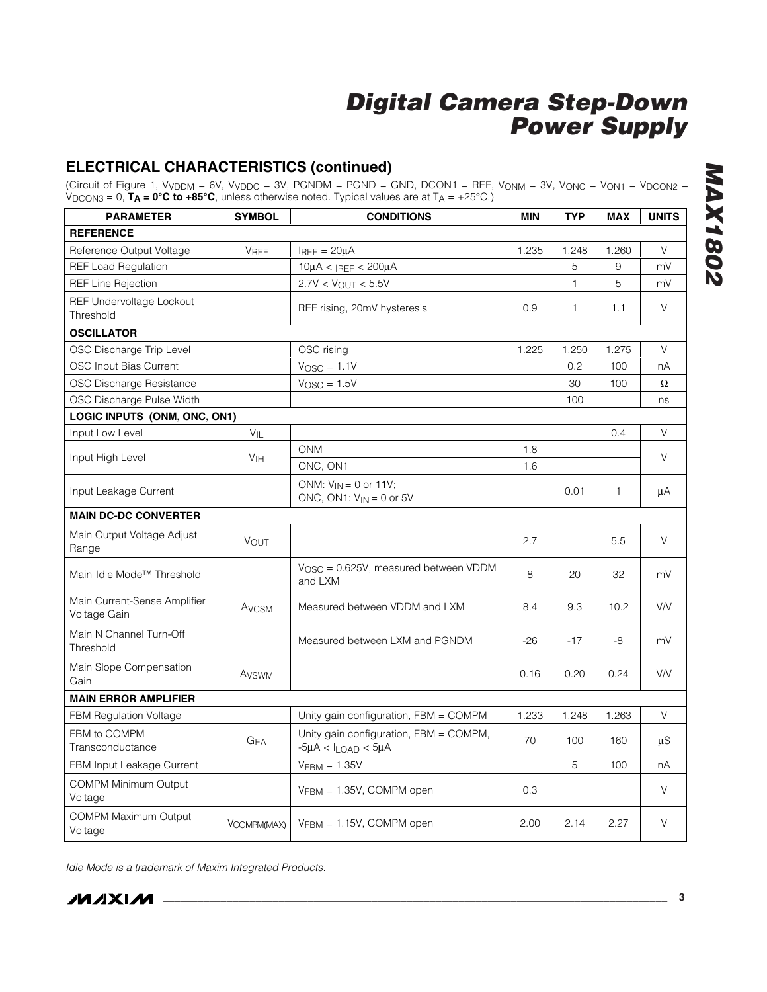### **ELECTRICAL CHARACTERISTICS (continued)**

(Circuit of Figure 1, V<sub>VDDM</sub> = 6V, V<sub>VDDC</sub> = 3V, PGNDM = PGND = GND, DCON1 = REF, V<sub>ONM</sub> = 3V, V<sub>ONC</sub> = V<sub>ON1</sub> = V<sub>DCON2</sub> = VDCON3 = 0, **TA = 0°C to +85°C**, unless otherwise noted. Typical values are at TA = +25°C.)

| <b>PARAMETER</b>                             | <b>SYMBOL</b>     | <b>CONDITIONS</b>                                                       | MIN   | <b>TYP</b>   | <b>MAX</b>   | <b>UNITS</b> |
|----------------------------------------------|-------------------|-------------------------------------------------------------------------|-------|--------------|--------------|--------------|
| <b>REFERENCE</b>                             |                   |                                                                         |       |              |              |              |
| Reference Output Voltage                     | <b>VREF</b>       | $I_{REF} = 20\mu A$                                                     | 1.235 | 1.248        | 1.260        | V            |
| <b>REF Load Regulation</b>                   |                   | $10\mu$ A < IREF < 200 $\mu$ A                                          |       | 5            | 9            | mV           |
| <b>REF Line Rejection</b>                    |                   | $2.7V < V_{OUT} < 5.5V$                                                 |       | $\mathbf{1}$ | 5            | mV           |
| REF Undervoltage Lockout<br>Threshold        |                   | REF rising, 20mV hysteresis                                             | 0.9   | $\mathbf{1}$ | 1.1          | V            |
| <b>OSCILLATOR</b>                            |                   |                                                                         |       |              |              |              |
| OSC Discharge Trip Level                     |                   | OSC rising                                                              | 1.225 | 1.250        | 1.275        | V            |
| OSC Input Bias Current                       |                   | $V_{\text{OSC}} = 1.1V$                                                 |       | 0.2          | 100          | nA           |
| OSC Discharge Resistance                     |                   | $V_{\text{OSC}} = 1.5V$                                                 |       | 30           | 100          | Ω            |
| OSC Discharge Pulse Width                    |                   |                                                                         |       | 100          |              | ns           |
| LOGIC INPUTS (ONM, ONC, ON1)                 |                   |                                                                         |       |              |              |              |
| Input Low Level                              | $V_{IL}$          |                                                                         |       |              | 0.4          | V            |
| Input High Level                             | V <sub>IH</sub>   | <b>ONM</b>                                                              | 1.8   |              |              | V            |
|                                              |                   | ONC, ON1                                                                | 1.6   |              |              |              |
| Input Leakage Current                        |                   | ONM: $V_{IN} = 0$ or 11V;<br>ONC, ON1: $V_{IN} = 0$ or 5V               |       | 0.01         | $\mathbf{1}$ | μA           |
| <b>MAIN DC-DC CONVERTER</b>                  |                   |                                                                         |       |              |              |              |
| Main Output Voltage Adjust<br>Range          | <b>VOUT</b>       |                                                                         | 2.7   |              | 5.5          | V            |
| Main Idle Mode™ Threshold                    |                   | $VOSC = 0.625V$ , measured between VDDM<br>and LXM                      | 8     | 20           | 32           | mV           |
| Main Current-Sense Amplifier<br>Voltage Gain | AVCSM             | Measured between VDDM and LXM                                           | 8.4   | 9.3          | 10.2         | V/V          |
| Main N Channel Turn-Off<br>Threshold         |                   | Measured between LXM and PGNDM                                          | $-26$ | $-17$        | -8           | mV           |
| Main Slope Compensation<br>Gain              | A <sub>VSWM</sub> |                                                                         | 0.16  | 0.20         | 0.24         | V/V          |
| <b>MAIN ERROR AMPLIFIER</b>                  |                   |                                                                         |       |              |              |              |
| <b>FBM Regulation Voltage</b>                |                   | Unity gain configuration, FBM = COMPM                                   | 1.233 | 1.248        | 1.263        | V            |
| FBM to COMPM<br>Transconductance             | G <sub>EA</sub>   | Unity gain configuration, FBM = COMPM,<br>$-5\mu A < I_{LOAD} < 5\mu A$ | 70    | 100          | 160          | μS           |
| FBM Input Leakage Current                    |                   | $VFBM = 1.35V$                                                          |       | 5            | 100          | nA           |
| <b>COMPM Minimum Output</b><br>Voltage       |                   | VFBM = 1.35V, COMPM open                                                | 0.3   |              |              | V            |
| COMPM Maximum Output<br>Voltage              | VCOMPM(MAX)       | $VFBM = 1.15V$ , COMPM open                                             | 2.00  | 2.14         | 2.27         | V            |

*Idle Mode is a trademark of Maxim Integrated Products.*

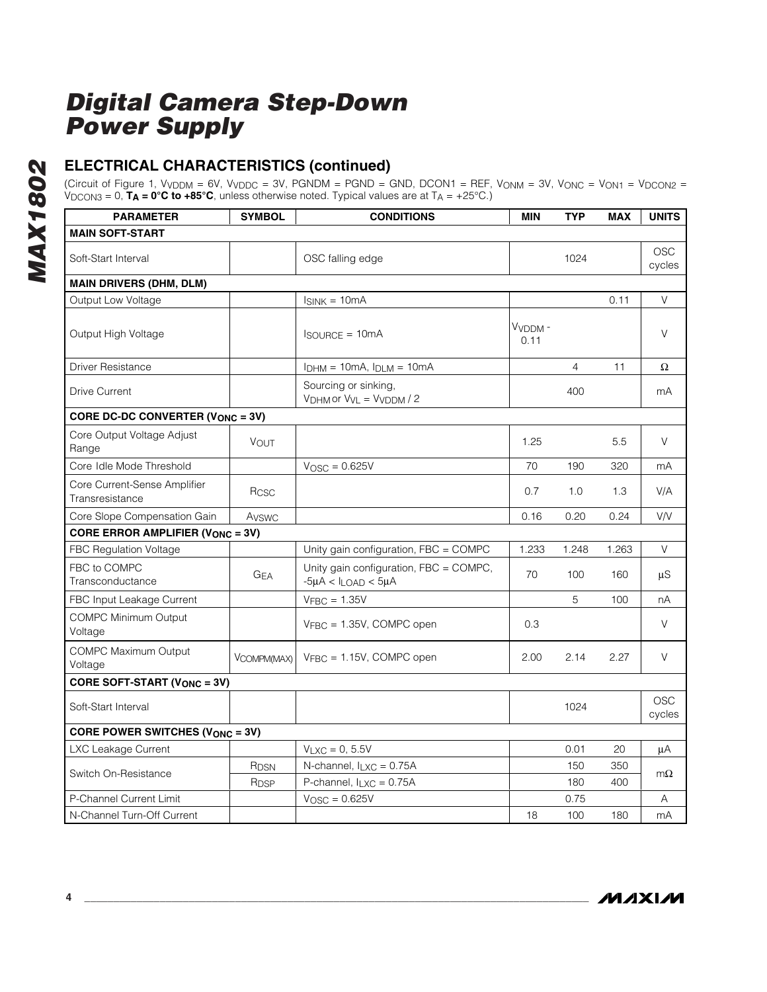### **ELECTRICAL CHARACTERISTICS (continued)**

(Circuit of Figure 1, VVDDM = 6V, VVDDC = 3V, PGNDM = PGND = GND, DCON1 = REF, VONM = 3V, VONC = VON1 = VDCON2 = VDCON3 = 0, **TA = 0°C to +85°C**, unless otherwise noted. Typical values are at TA = +25°C.)

| <b>PARAMETER</b>                                | <b>SYMBOL</b>         | <b>CONDITIONS</b>                                                       | <b>MIN</b>     | <b>TYP</b>     | <b>MAX</b> | <b>UNITS</b>         |
|-------------------------------------------------|-----------------------|-------------------------------------------------------------------------|----------------|----------------|------------|----------------------|
| <b>MAIN SOFT-START</b>                          |                       |                                                                         |                |                |            |                      |
| Soft-Start Interval                             |                       | OSC falling edge                                                        |                | 1024           |            | OSC<br>cycles        |
| <b>MAIN DRIVERS (DHM, DLM)</b>                  |                       |                                                                         |                |                |            |                      |
| Output Low Voltage                              |                       | $I_{SINK} = 10mA$                                                       |                |                | 0.11       | V                    |
| Output High Voltage                             |                       | $I_{\text{SOURCE}} = 10 \text{mA}$                                      | VVDDM-<br>0.11 |                |            | V                    |
| <b>Driver Resistance</b>                        |                       | $I_{DHM} = 10mA$ , $I_{DLM} = 10mA$                                     |                | $\overline{4}$ | 11         | Ω                    |
| <b>Drive Current</b>                            |                       | Sourcing or sinking,<br>$VDHM$ or $VVL = VVDDM / 2$                     |                | 400            |            | mA                   |
| CORE DC-DC CONVERTER (V <sub>ONC</sub> = 3V)    |                       |                                                                         |                |                |            |                      |
| Core Output Voltage Adjust<br>Range             | <b>VOUT</b>           |                                                                         | 1.25           |                | 5.5        | V                    |
| Core Idle Mode Threshold                        |                       | $VOSC = 0.625V$                                                         | 70             | 190            | 320        | mA                   |
| Core Current-Sense Amplifier<br>Transresistance | Rcsc                  |                                                                         | 0.7            | 1.0            | 1.3        | V/A                  |
| Core Slope Compensation Gain                    | Avswc                 |                                                                         | 0.16           | 0.20           | 0.24       | V/V                  |
| <b>CORE ERROR AMPLIFIER (VONC = 3V)</b>         |                       |                                                                         |                |                |            |                      |
| <b>FBC Regulation Voltage</b>                   |                       | Unity gain configuration, FBC = COMPC                                   | 1.233          | 1.248          | 1.263      | V                    |
| FBC to COMPC<br>Transconductance                | <b>G<sub>EA</sub></b> | Unity gain configuration, FBC = COMPC,<br>$-5\mu A < I_{LOAD} < 5\mu A$ | 70             | 100            | 160        | μS                   |
| FBC Input Leakage Current                       |                       | $V_{\text{FBC}} = 1.35V$                                                |                | 5              | 100        | nA                   |
| <b>COMPC Minimum Output</b><br>Voltage          |                       | $V_{FBC} = 1.35V$ , COMPC open                                          | 0.3            |                |            | V                    |
| <b>COMPC Maximum Output</b><br>Voltage          | VCOMPM(MAX)           | VFBC = 1.15V, COMPC open                                                | 2.00           | 2.14           | 2.27       | V                    |
| <b>CORE SOFT-START (VONC = 3V)</b>              |                       |                                                                         |                |                |            |                      |
| Soft-Start Interval                             |                       |                                                                         |                | 1024           |            | <b>OSC</b><br>cycles |
| <b>CORE POWER SWITCHES (VONC = 3V)</b>          |                       |                                                                         |                |                |            |                      |
| LXC Leakage Current                             |                       | $V_{LXC} = 0, 5.5V$                                                     |                | 0.01           | 20         | μA                   |
| Switch On-Resistance                            | R <sub>DSN</sub>      | N-channel, $I_{LXC} = 0.75A$                                            |                | 150            | 350        | $m\Omega$            |
|                                                 | R <sub>DSP</sub>      | P-channel, $I_{LXC} = 0.75A$                                            |                | 180            | 400        |                      |
| P-Channel Current Limit                         |                       | $V_{\text{OSC}} = 0.625V$                                               |                | 0.75           |            | Α                    |
| N-Channel Turn-Off Current                      |                       |                                                                         | 18             | 100            | 180        | mA                   |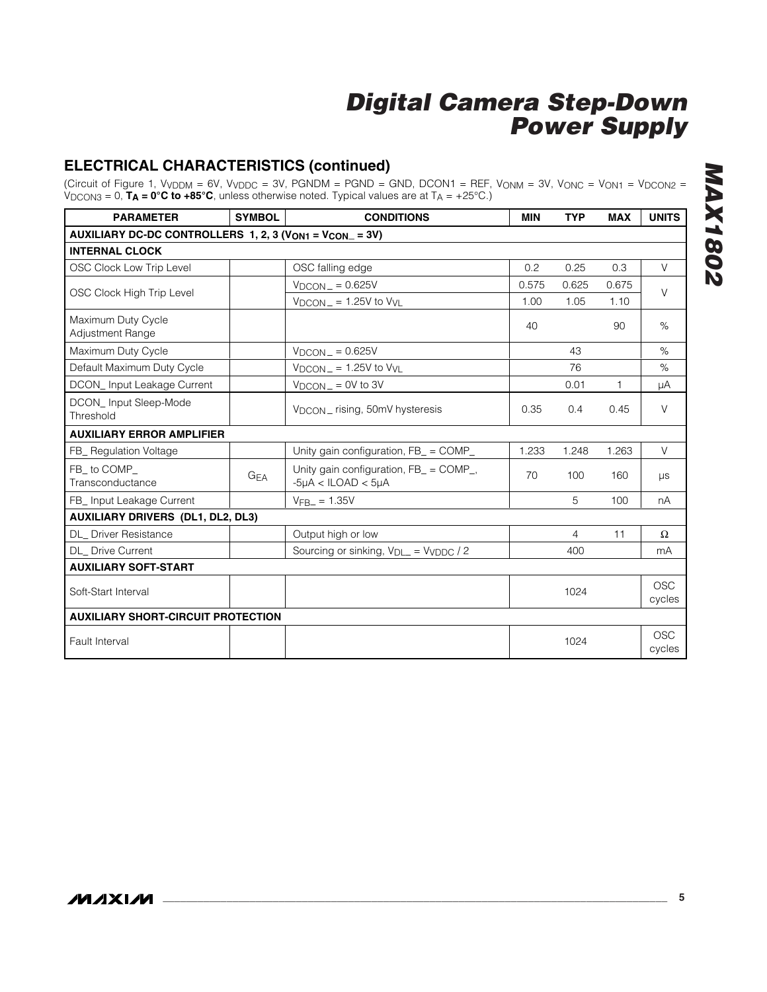### **ELECTRICAL CHARACTERISTICS (continued)**

(Circuit of Figure 1, VVDDM = 6V, VVDDC = 3V, PGNDM = PGND = GND, DCON1 = REF, VONM = 3V, VONC = VON1 = VDCON2 = VDCON3 = 0, **TA = 0°C to +85°C**, unless otherwise noted. Typical values are at TA = +25°C.)

| <b>PARAMETER</b>                                                               | <b>SYMBOL</b> | <b>CONDITIONS</b>                                                    | <b>MIN</b>    | <b>TYP</b>     | <b>MAX</b>   | <b>UNITS</b>         |
|--------------------------------------------------------------------------------|---------------|----------------------------------------------------------------------|---------------|----------------|--------------|----------------------|
| AUXILIARY DC-DC CONTROLLERS 1, 2, 3 (V <sub>ON1</sub> = V <sub>CON</sub> = 3V) |               |                                                                      |               |                |              |                      |
| <b>INTERNAL CLOCK</b>                                                          |               |                                                                      |               |                |              |                      |
| OSC Clock Low Trip Level                                                       |               | OSC falling edge                                                     | $0.2^{\circ}$ | 0.25           | 0.3          | V                    |
| OSC Clock High Trip Level                                                      |               | $V_{DCON}$ = 0.625V                                                  | 0.575         | 0.625          | 0.675        | V                    |
|                                                                                |               | $V_{DCON}$ = 1.25V to $V_{VL}$                                       | 1.00          | 1.05           | 1.10         |                      |
| Maximum Duty Cycle<br><b>Adjustment Range</b>                                  |               |                                                                      | 40            |                | 90           | %                    |
| Maximum Duty Cycle                                                             |               | $V_{DCON}$ = 0.625V                                                  |               | 43             |              | %                    |
| Default Maximum Duty Cycle                                                     |               | $V_{DCON}$ = 1.25V to $V_{VL}$                                       |               | 76             |              | $\%$                 |
| DCON_Input Leakage Current                                                     |               | $V_{DCON}$ = 0V to 3V                                                |               | 0.01           | $\mathbf{1}$ | μA                   |
| DCON_Input Sleep-Mode<br>Threshold                                             |               | V <sub>DCON</sub> _ rising, 50mV hysteresis                          | 0.35          | 0.4            | 0.45         | $\vee$               |
| <b>AUXILIARY ERROR AMPLIFIER</b>                                               |               |                                                                      |               |                |              |                      |
| FB_ Regulation Voltage                                                         |               | Unity gain configuration, FB_ = COMP_                                | 1.233         | 1.248          | 1.263        | V                    |
| FB to COMP<br>Transconductance                                                 | <b>GEA</b>    | Unity gain configuration, FB_ = COMP_,<br>$-5\mu A < ILOAD < 5\mu A$ | 70            | 100            | 160          | $\mu s$              |
| FB_ Input Leakage Current                                                      |               | $VFB = 1.35V$                                                        |               | 5              | 100          | nA                   |
| <b>AUXILIARY DRIVERS (DL1, DL2, DL3)</b>                                       |               |                                                                      |               |                |              |                      |
| <b>DL</b> Driver Resistance                                                    |               | Output high or low                                                   |               | $\overline{4}$ | 11           | Ω                    |
| <b>DL</b> Drive Current                                                        |               | Sourcing or sinking, $V_{D}$ = Vyppc / 2                             |               | 400            |              | mA                   |
| <b>AUXILIARY SOFT-START</b>                                                    |               |                                                                      |               |                |              |                      |
| Soft-Start Interval                                                            |               |                                                                      |               | 1024           |              | <b>OSC</b><br>cycles |
| <b>AUXILIARY SHORT-CIRCUIT PROTECTION</b>                                      |               |                                                                      |               |                |              |                      |
| Fault Interval                                                                 |               |                                                                      |               | 1024           |              | <b>OSC</b><br>cycles |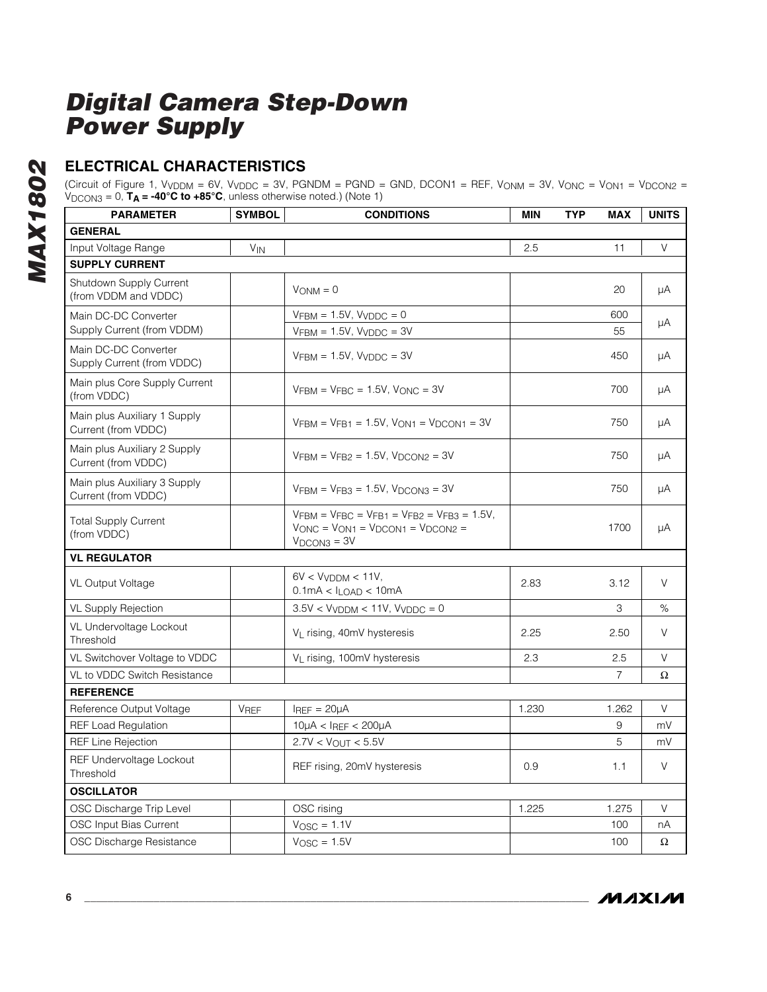## **ELECTRICAL CHARACTERISTICS**

(Circuit of Figure 1, VVDDM = 6V, VVDDC = 3V, PGNDM = PGND = GND, DCON1 = REF, VONM = 3V, VONC = VON1 = VDCON2 = VDCON3 = 0, **TA = -40°C to +85°C**, unless otherwise noted.) (Note 1)

| <b>PARAMETER</b>                                    | <b>SYMBOL</b>         | <b>CONDITIONS</b>                                                                                                          | MIN   | <b>TYP</b> | <b>MAX</b> | <b>UNITS</b> |
|-----------------------------------------------------|-----------------------|----------------------------------------------------------------------------------------------------------------------------|-------|------------|------------|--------------|
| <b>GENERAL</b>                                      |                       |                                                                                                                            |       |            |            |              |
| Input Voltage Range                                 | <b>V<sub>IN</sub></b> |                                                                                                                            | 2.5   |            | 11         | V            |
| <b>SUPPLY CURRENT</b>                               |                       |                                                                                                                            |       |            |            |              |
| Shutdown Supply Current<br>(from VDDM and VDDC)     |                       | $V_{ONM} = 0$                                                                                                              |       |            | 20         | μA           |
| Main DC-DC Converter<br>Supply Current (from VDDM)  |                       | $VFBM = 1.5V$ , $VVDDC = 0$<br>$VFBM = 1.5V$ , $VVDDC = 3V$                                                                |       |            | 600<br>55  | μA           |
| Main DC-DC Converter<br>Supply Current (from VDDC)  |                       | $VFBM = 1.5V$ , $VVDDC = 3V$                                                                                               |       |            | 450        | μA           |
| Main plus Core Supply Current<br>(from VDDC)        |                       | $VFBM = VFBC = 1.5V$ , $VONC = 3V$                                                                                         |       |            | 700        | μA           |
| Main plus Auxiliary 1 Supply<br>Current (from VDDC) |                       | $VFBM = VFB1 = 1.5V$ , $VON1 = VDCON1 = 3V$                                                                                |       |            | 750        | μA           |
| Main plus Auxiliary 2 Supply<br>Current (from VDDC) |                       | $VFBM = VFB2 = 1.5V$ , $VDCON2 = 3V$                                                                                       |       |            | 750        | μA           |
| Main plus Auxiliary 3 Supply<br>Current (from VDDC) |                       | $VFBM = VFB3 = 1.5V$ , $VDCON3 = 3V$                                                                                       |       |            | 750        | μA           |
| <b>Total Supply Current</b><br>(from VDDC)          |                       | $V$ FBM = $V$ FBC = $V$ FB1 = $V$ FB2 = $V$ FB3 = 1.5V,<br>$V$ ONC = $V$ ON1 = $V$ DCON1 = $V$ DCON2 =<br>$V_{DCON3} = 3V$ |       |            | 1700       | μA           |
| <b>VL REGULATOR</b>                                 |                       |                                                                                                                            |       |            |            |              |
| <b>VL Output Voltage</b>                            |                       | $6V < VVDDM < 11V$ ,<br>$0.1mA < I_{LOAD} < 10mA$                                                                          | 2.83  |            | 3.12       | V            |
| VL Supply Rejection                                 |                       | $3.5V < VVDDM < 11V$ , $VVDDC = 0$                                                                                         |       |            | 3          | $\%$         |
| VL Undervoltage Lockout<br>Threshold                |                       | V <sub>L</sub> rising, 40mV hysteresis                                                                                     | 2.25  |            | 2.50       | V            |
| VL Switchover Voltage to VDDC                       |                       | V <sub>L</sub> rising, 100mV hysteresis                                                                                    | 2.3   |            | 2.5        | V            |
| VL to VDDC Switch Resistance                        |                       |                                                                                                                            |       |            | 7          | Ω            |
| <b>REFERENCE</b>                                    |                       |                                                                                                                            |       |            |            |              |
| Reference Output Voltage                            | <b>VREF</b>           | $I_{REF} = 20 \mu A$                                                                                                       | 1.230 |            | 1.262      | V            |
| <b>REF Load Regulation</b>                          |                       | $10\mu$ A < IREF < 200 $\mu$ A                                                                                             |       |            | 9          | mV           |
| <b>REF Line Rejection</b>                           |                       | $2.7V < V_{OUT} < 5.5V$                                                                                                    |       |            | 5          | mV           |
| REF Undervoltage Lockout<br>Threshold               |                       | REF rising, 20mV hysteresis                                                                                                | 0.9   |            | 1.1        | V            |
| <b>OSCILLATOR</b>                                   |                       |                                                                                                                            |       |            |            |              |
| OSC Discharge Trip Level                            |                       | OSC rising                                                                                                                 | 1.225 |            | 1.275      | V            |
| OSC Input Bias Current                              |                       | $V_{\text{OSC}} = 1.1V$                                                                                                    |       |            | 100        | nА           |
| OSC Discharge Resistance                            |                       | $V_{\text{OSC}} = 1.5V$                                                                                                    |       |            | 100        | Ω            |

**MAXMI**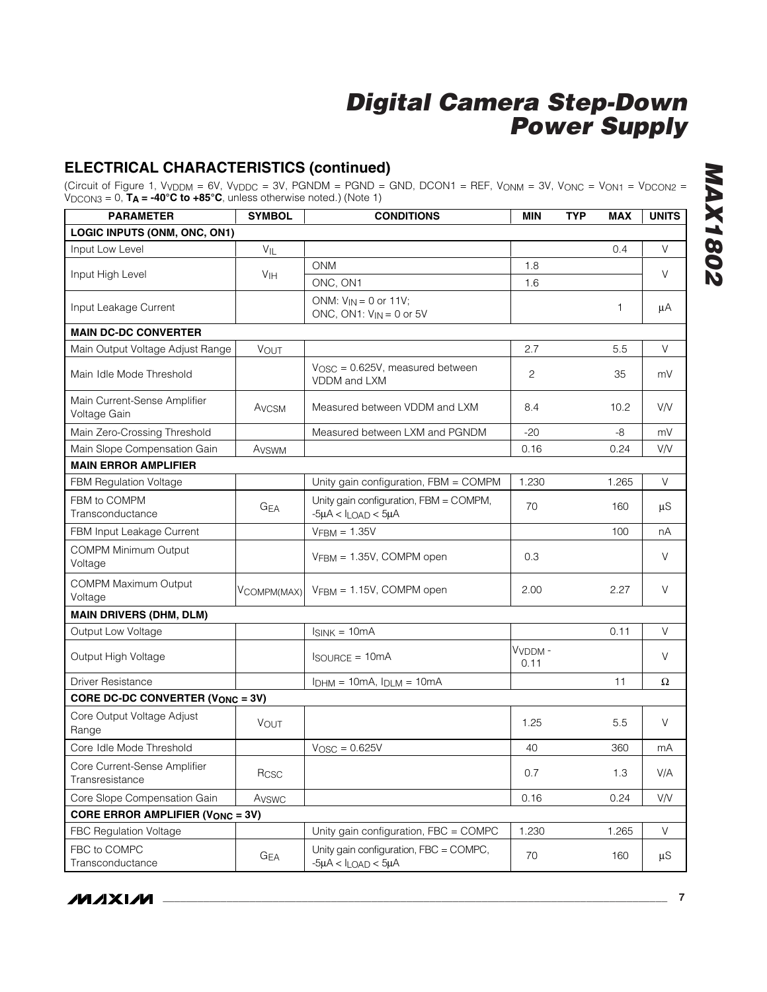## **ELECTRICAL CHARACTERISTICS (continued)**

(Circuit of Figure 1, VVDDM = 6V, VVDDC = 3V, PGNDM = PGND = GND, DCON1 = REF, VONM = 3V, VONC = VON1 = VDCON2 = VDCON3 = 0, **TA = -40°C to +85°C**, unless otherwise noted.) (Note 1)

| <b>PARAMETER</b>                                | <b>SYMBOL</b>     | <b>CONDITIONS</b>                                                       | <b>MIN</b>                  | <b>TYP</b> | <b>MAX</b> | <b>UNITS</b> |  |
|-------------------------------------------------|-------------------|-------------------------------------------------------------------------|-----------------------------|------------|------------|--------------|--|
| LOGIC INPUTS (ONM, ONC, ON1)                    |                   |                                                                         |                             |            |            |              |  |
| Input Low Level                                 | $V_{IL}$          |                                                                         |                             |            | 0.4        | V            |  |
| Input High Level                                | V <sub>IH</sub>   | <b>ONM</b>                                                              | 1.8                         |            |            | V            |  |
|                                                 |                   | ONC, ON1                                                                | 1.6                         |            |            |              |  |
| Input Leakage Current                           |                   | ONM: $V_{IN} = 0$ or 11V;<br>ONC, ON1: $V_{IN} = 0$ or 5V               |                             |            | 1          | μA           |  |
| <b>MAIN DC-DC CONVERTER</b>                     |                   |                                                                         |                             |            |            |              |  |
| Main Output Voltage Adjust Range                | VOUT              |                                                                         | 2.7                         |            | 5.5        | V            |  |
| Main Idle Mode Threshold                        |                   | $V_{\text{OSC}} = 0.625V$ , measured between<br>VDDM and LXM            | 2                           |            | 35         | mV           |  |
| Main Current-Sense Amplifier<br>Voltage Gain    | A <sub>VCSM</sub> | Measured between VDDM and LXM                                           | 8.4                         |            | 10.2       | <b>V/V</b>   |  |
| Main Zero-Crossing Threshold                    |                   | Measured between LXM and PGNDM                                          | -20                         |            | $-8$       | mV           |  |
| Main Slope Compensation Gain                    | Avswm             |                                                                         | 0.16                        |            | 0.24       | V/V          |  |
| <b>MAIN ERROR AMPLIFIER</b>                     |                   |                                                                         |                             |            |            |              |  |
| <b>FBM Regulation Voltage</b>                   |                   | Unity gain configuration, FBM = COMPM                                   | 1.230                       |            | 1.265      | $\vee$       |  |
| FBM to COMPM<br>Transconductance                | GEA               | Unity gain configuration, FBM = COMPM,<br>$-5\mu A < I_{LOAD} < 5\mu A$ | 70                          |            | 160        | μS           |  |
| FBM Input Leakage Current                       |                   | $VFBM = 1.35V$                                                          |                             |            | 100        | nA           |  |
| <b>COMPM Minimum Output</b><br>Voltage          |                   | VFBM = 1.35V, COMPM open                                                | 0.3                         |            |            | V            |  |
| COMPM Maximum Output<br>Voltage                 | VCOMPM(MAX)       | $VFBM = 1.15V$ , COMPM open                                             | 2.00                        |            | 2.27       | V            |  |
| <b>MAIN DRIVERS (DHM, DLM)</b>                  |                   |                                                                         |                             |            |            |              |  |
| Output Low Voltage                              |                   | $I_{SINK} = 10mA$                                                       |                             |            | 0.11       | V            |  |
| Output High Voltage                             |                   | $I_{\text{SOURCE}} = 10 \text{mA}$                                      | V <sub>VDDM</sub> -<br>0.11 |            |            | V            |  |
| <b>Driver Resistance</b>                        |                   | $I_{DHM} = 10mA$ , $I_{DLM} = 10mA$                                     |                             |            | 11         | Ω            |  |
| <b>CORE DC-DC CONVERTER (VONC = 3V)</b>         |                   |                                                                         |                             |            |            |              |  |
| Core Output Voltage Adjust<br>Range             | <b>VOUT</b>       |                                                                         | 1.25                        |            | 5.5        | V            |  |
| Core Idle Mode Threshold                        |                   | $VOSC = 0.625V$                                                         | 40                          |            | 360        | mA           |  |
| Core Current-Sense Amplifier<br>Transresistance | Rcsc              |                                                                         | 0.7                         |            | 1.3        | V/A          |  |
| Core Slope Compensation Gain                    | Avswc             |                                                                         | 0.16                        |            | 0.24       | V/V          |  |
| <b>CORE ERROR AMPLIFIER (VONC = 3V)</b>         |                   |                                                                         |                             |            |            |              |  |
| FBC Regulation Voltage                          |                   | Unity gain configuration, FBC = COMPC                                   | 1.230                       |            | 1.265      | V            |  |
| FBC to COMPC<br>Transconductance                | G <sub>EA</sub>   | Unity gain configuration, FBC = COMPC,<br>$-5\mu A < I_{LOAD} < 5\mu A$ | 70                          |            | 160        | μS           |  |

**MAX1802** *MAX1802*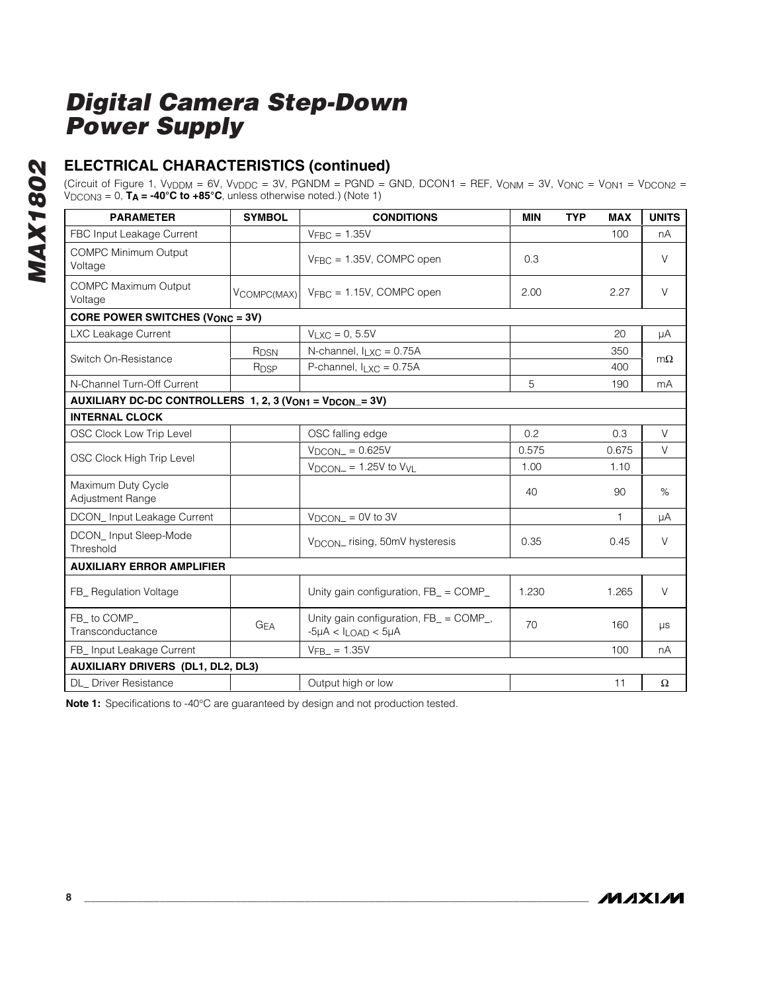## **ELECTRICAL CHARACTERISTICS (continued)**

(Circuit of Figure 1, VVDDM = 6V, VVDDC = 3V, PGNDM = PGND = GND, DCON1 = REF, VONM = 3V, VONC = VON1 = VDCON2 = VDCON3 = 0, **TA = -40°C to +85°C**, unless otherwise noted.) (Note 1)

| <b>PARAMETER</b>                         | <b>SYMBOL</b>                                           | <b>CONDITIONS</b>                                                       | <b>MIN</b> | <b>TYP</b> | <b>MAX</b> | <b>UNITS</b> |  |
|------------------------------------------|---------------------------------------------------------|-------------------------------------------------------------------------|------------|------------|------------|--------------|--|
| FBC Input Leakage Current                |                                                         | $V_{\text{FBC}} = 1.35V$                                                |            |            | 100        | nA           |  |
| <b>COMPC Minimum Output</b><br>Voltage   |                                                         | $V_{\text{FBC}} = 1.35V$ , COMPC open                                   | 0.3        |            |            | V            |  |
| <b>COMPC Maximum Output</b><br>Voltage   | VCOMPC(MAX)                                             | $V_{FBC} = 1.15V$ , COMPC open                                          | 2.00       |            | 2.27       | $\vee$       |  |
| <b>CORE POWER SWITCHES (VONC = 3V)</b>   |                                                         |                                                                         |            |            |            |              |  |
| LXC Leakage Current                      |                                                         | $V_{LXC} = 0, 5.5V$                                                     |            |            | 20         | μA           |  |
| Switch On-Resistance                     | R <sub>DSN</sub>                                        | N-channel, $I_{LXC} = 0.75A$                                            |            |            | 350        | $m\Omega$    |  |
|                                          | R <sub>DSP</sub>                                        | P-channel, $I_{LXC} = 0.75A$                                            |            |            | 400        |              |  |
| N-Channel Turn-Off Current               |                                                         |                                                                         | 5          |            | 190        | mA           |  |
|                                          | AUXILIARY DC-DC CONTROLLERS 1, 2, 3 (VON1 = VDCON_= 3V) |                                                                         |            |            |            |              |  |
| <b>INTERNAL CLOCK</b>                    |                                                         |                                                                         |            |            |            |              |  |
| OSC Clock Low Trip Level                 |                                                         | OSC falling edge                                                        | 0.2        |            | 0.3        | $\vee$       |  |
| OSC Clock High Trip Level                |                                                         | $V_{DCON} = 0.625V$                                                     | 0.575      |            | 0.675      | V            |  |
|                                          |                                                         | $V_{DCON}$ = 1.25V to $V_{VL}$                                          | 1.00       |            | 1.10       |              |  |
| Maximum Duty Cycle<br>Adjustment Range   |                                                         |                                                                         | 40         |            | 90         | $\%$         |  |
| DCON_Input Leakage Current               |                                                         | $V_{DCON} = 0V$ to 3V                                                   |            |            | 1          | μA           |  |
| DCON_Input Sleep-Mode<br>Threshold       |                                                         | V <sub>DCON</sub> rising, 50mV hysteresis                               | 0.35       |            | 0.45       | V            |  |
| <b>AUXILIARY ERROR AMPLIFIER</b>         |                                                         |                                                                         |            |            |            |              |  |
| FB_ Regulation Voltage                   |                                                         | Unity gain configuration, FB_ = COMP_                                   | 1.230      |            | 1.265      | V            |  |
| FB_to COMP_<br>Transconductance          | $G_{EA}$                                                | Unity gain configuration, FB_ = COMP_,<br>$-5\mu A < I_{LOAD} < 5\mu A$ | 70         |            | 160        | μs           |  |
| FB_ Input Leakage Current                |                                                         | $V_{\text{FB}} = 1.35V$                                                 |            |            | 100        | nA           |  |
| <b>AUXILIARY DRIVERS (DL1, DL2, DL3)</b> |                                                         |                                                                         |            |            |            |              |  |
| DL_ Driver Resistance                    |                                                         | Output high or low                                                      |            |            | 11         | $\Omega$     |  |

**Note 1:** Specifications to -40°C are guaranteed by design and not production tested.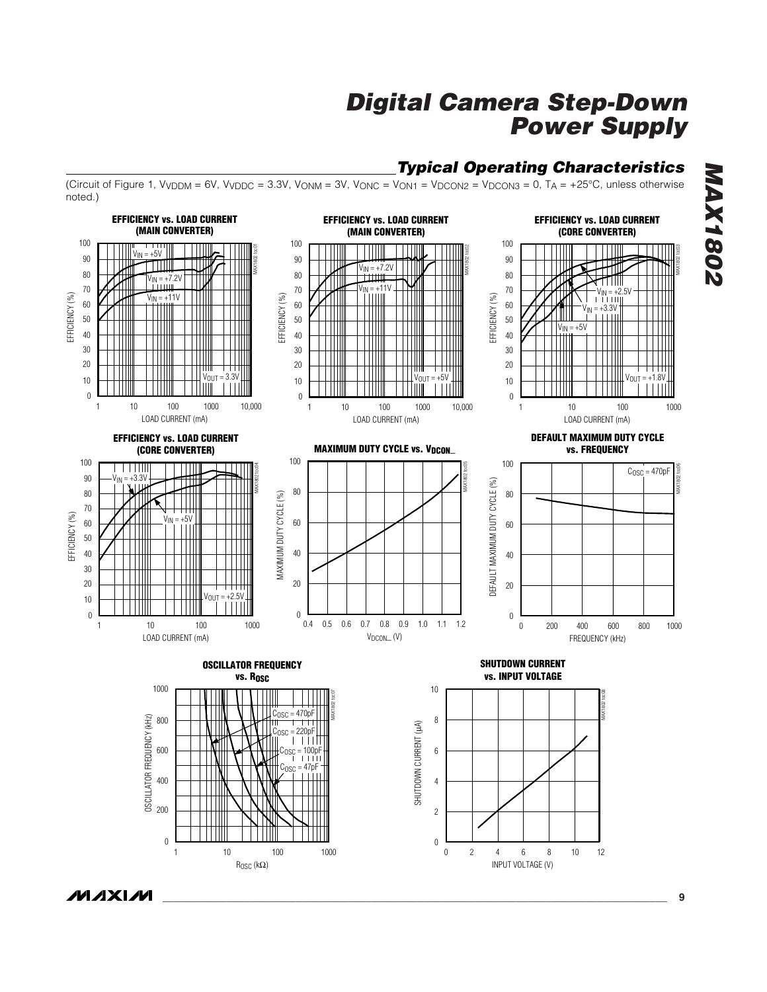## *Typical Operating Characteristics*

(Circuit of Figure 1,  $V_{VDDM}$  = 6V,  $V_{VDDC}$  = 3.3V,  $V_{ONM}$  = 3V,  $V_{ONC}$  =  $V_{ON1}$  =  $V_{DCON2}$  =  $V_{DCON3}$  = 0,  $T_A$  = +25°C, unless otherwise noted.)



*MAX1802* **MAX1802** 

**MAXIM**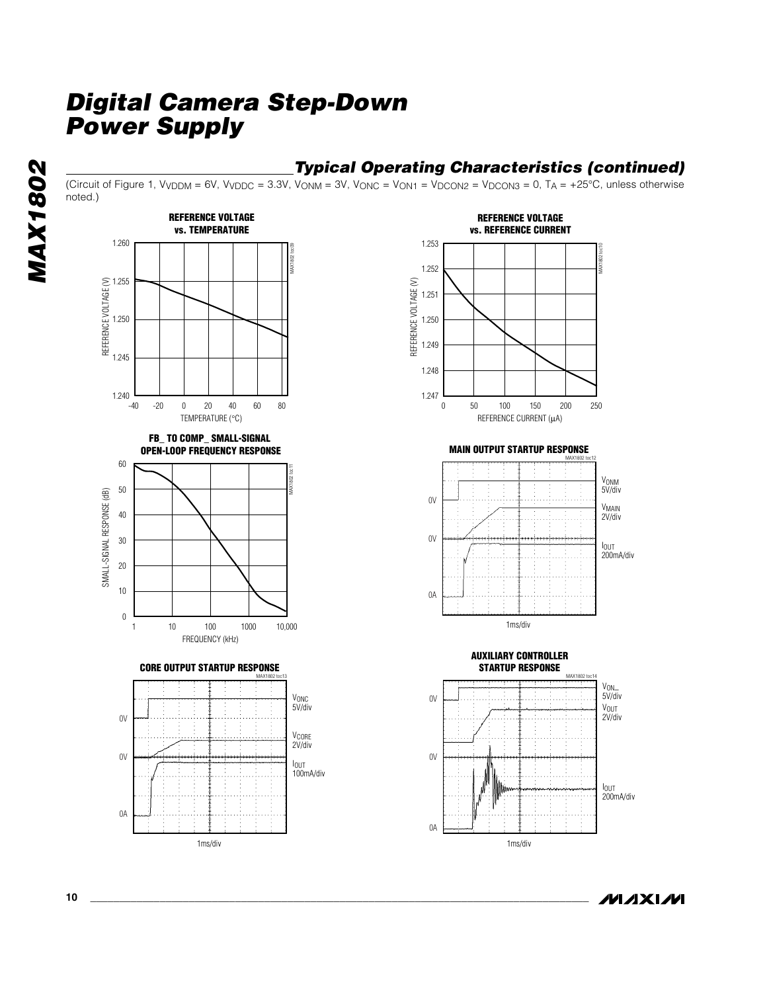### *Typical Operating Characteristics (continued)*

(Circuit of Figure 1, V<sub>VDDM</sub> = 6V, V<sub>VDDC</sub> = 3.3V, V<sub>ONM</sub> = 3V, V<sub>ONC</sub> = V<sub>ON1</sub> = V<sub>DCON2</sub> = V<sub>DCON3</sub> = 0, T<sub>A</sub> = +25°C, unless otherwise noted.)



**MAXIM**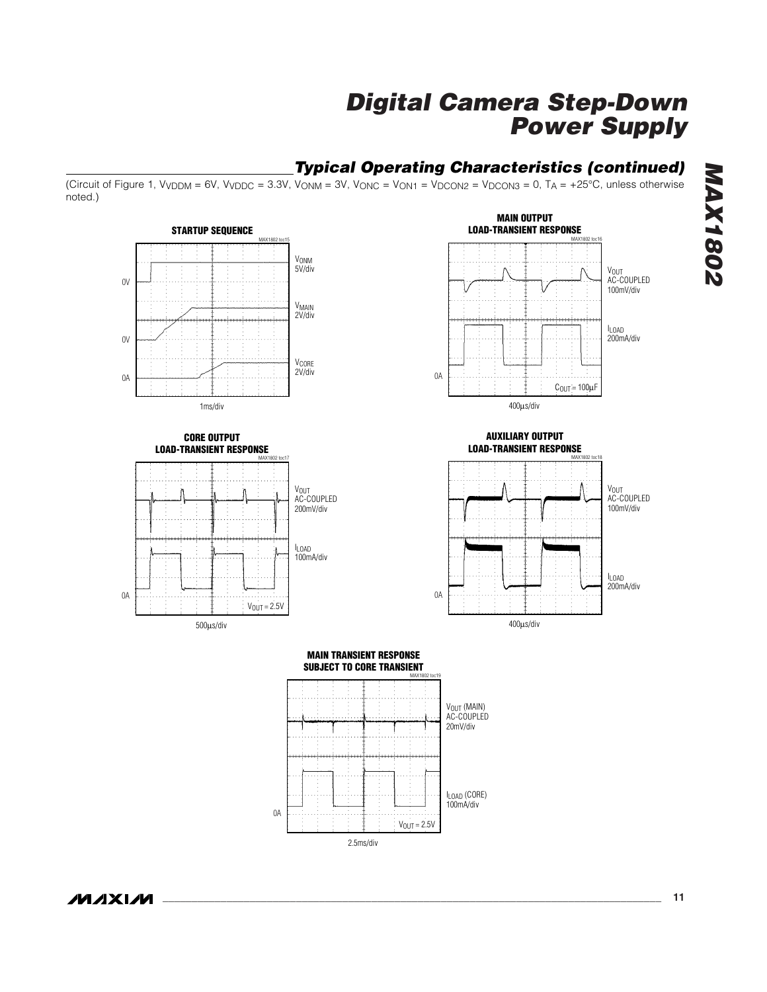## *Typical Operating Characteristics (continued)*

(Circuit of Figure 1,  $V_{VDDM}$  = 6V,  $V_{VDDC}$  = 3.3V,  $V_{ONM}$  = 3V,  $V_{ONC}$  =  $V_{ON1}$  =  $V_{DCON2}$  =  $V_{DCON3}$  = 0,  $T_A$  = +25°C, unless otherwise noted.)



**MAX1802** *MAX1802*

**MAXM**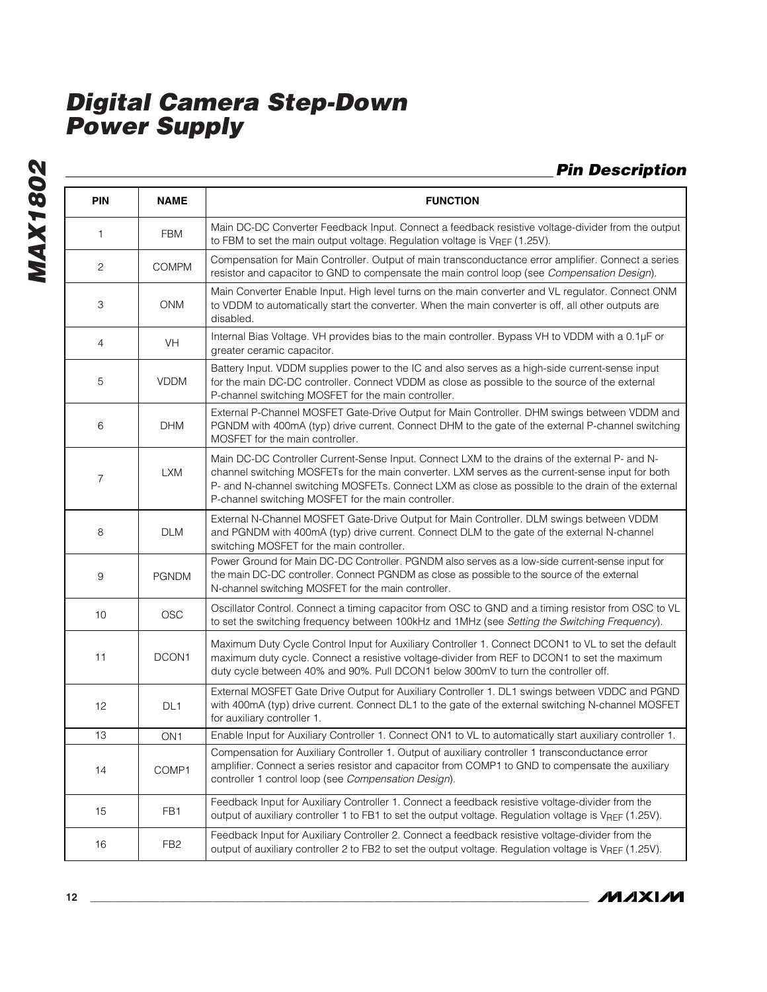**MAX1802** *MAX1802*

*Pin Description*

| PIN            | <b>NAME</b>     | <b>FUNCTION</b>                                                                                                                                                                                                                                                                                                                                                |
|----------------|-----------------|----------------------------------------------------------------------------------------------------------------------------------------------------------------------------------------------------------------------------------------------------------------------------------------------------------------------------------------------------------------|
| 1              | <b>FBM</b>      | Main DC-DC Converter Feedback Input. Connect a feedback resistive voltage-divider from the output<br>to FBM to set the main output voltage. Regulation voltage is VREF (1.25V).                                                                                                                                                                                |
| 2              | <b>COMPM</b>    | Compensation for Main Controller. Output of main transconductance error amplifier. Connect a series<br>resistor and capacitor to GND to compensate the main control loop (see Compensation Design).                                                                                                                                                            |
| 3              | <b>ONM</b>      | Main Converter Enable Input. High level turns on the main converter and VL regulator. Connect ONM<br>to VDDM to automatically start the converter. When the main converter is off, all other outputs are<br>disabled.                                                                                                                                          |
| 4              | VH              | Internal Bias Voltage. VH provides bias to the main controller. Bypass VH to VDDM with a 0.1µF or<br>greater ceramic capacitor.                                                                                                                                                                                                                                |
| 5              | <b>VDDM</b>     | Battery Input. VDDM supplies power to the IC and also serves as a high-side current-sense input<br>for the main DC-DC controller. Connect VDDM as close as possible to the source of the external<br>P-channel switching MOSFET for the main controller.                                                                                                       |
| 6              | <b>DHM</b>      | External P-Channel MOSFET Gate-Drive Output for Main Controller. DHM swings between VDDM and<br>PGNDM with 400mA (typ) drive current. Connect DHM to the gate of the external P-channel switching<br>MOSFET for the main controller.                                                                                                                           |
| $\overline{7}$ | <b>LXM</b>      | Main DC-DC Controller Current-Sense Input. Connect LXM to the drains of the external P- and N-<br>channel switching MOSFETs for the main converter. LXM serves as the current-sense input for both<br>P- and N-channel switching MOSFETs. Connect LXM as close as possible to the drain of the external<br>P-channel switching MOSFET for the main controller. |
| 8              | <b>DLM</b>      | External N-Channel MOSFET Gate-Drive Output for Main Controller. DLM swings between VDDM<br>and PGNDM with 400mA (typ) drive current. Connect DLM to the gate of the external N-channel<br>switching MOSFET for the main controller.                                                                                                                           |
| 9              | <b>PGNDM</b>    | Power Ground for Main DC-DC Controller. PGNDM also serves as a low-side current-sense input for<br>the main DC-DC controller. Connect PGNDM as close as possible to the source of the external<br>N-channel switching MOSFET for the main controller.                                                                                                          |
| 10             | <b>OSC</b>      | Oscillator Control. Connect a timing capacitor from OSC to GND and a timing resistor from OSC to VL<br>to set the switching frequency between 100kHz and 1MHz (see Setting the Switching Frequency).                                                                                                                                                           |
| 11             | DCON1           | Maximum Duty Cycle Control Input for Auxiliary Controller 1. Connect DCON1 to VL to set the default<br>maximum duty cycle. Connect a resistive voltage-divider from REF to DCON1 to set the maximum<br>duty cycle between 40% and 90%. Pull DCON1 below 300mV to turn the controller off.                                                                      |
| 12             | DL <sub>1</sub> | External MOSFET Gate Drive Output for Auxiliary Controller 1. DL1 swings between VDDC and PGND<br>with 400mA (typ) drive current. Connect DL1 to the gate of the external switching N-channel MOSFET<br>for auxiliary controller 1.                                                                                                                            |
| 13             | ON <sub>1</sub> | Enable Input for Auxiliary Controller 1. Connect ON1 to VL to automatically start auxiliary controller 1.                                                                                                                                                                                                                                                      |
| 14             | COMP1           | Compensation for Auxiliary Controller 1. Output of auxiliary controller 1 transconductance error<br>amplifier. Connect a series resistor and capacitor from COMP1 to GND to compensate the auxiliary<br>controller 1 control loop (see Compensation Design).                                                                                                   |
| 15             | FB1             | Feedback Input for Auxiliary Controller 1. Connect a feedback resistive voltage-divider from the<br>output of auxiliary controller 1 to FB1 to set the output voltage. Regulation voltage is VREF (1.25V).                                                                                                                                                     |
| 16             | FB <sub>2</sub> | Feedback Input for Auxiliary Controller 2. Connect a feedback resistive voltage-divider from the<br>output of auxiliary controller 2 to FB2 to set the output voltage. Regulation voltage is VREF (1.25V).                                                                                                                                                     |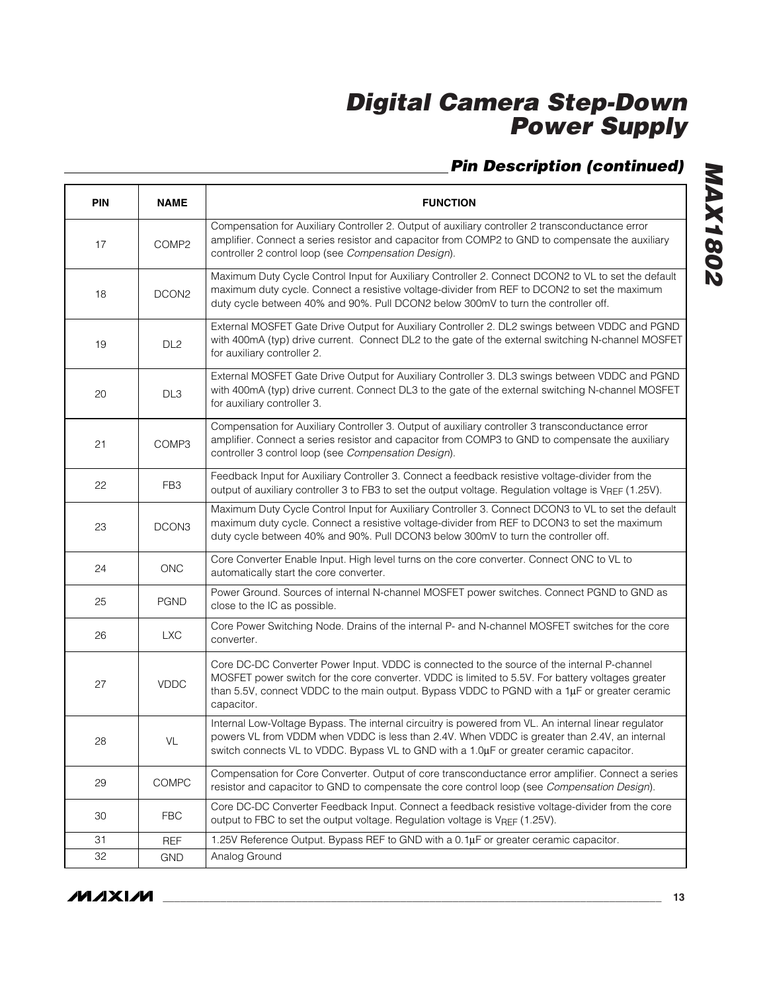## *Pin Description (continued)*

| <b>PIN</b> | <b>NAME</b>       | <b>FUNCTION</b>                                                                                                                                                                                                                                                                                                      |
|------------|-------------------|----------------------------------------------------------------------------------------------------------------------------------------------------------------------------------------------------------------------------------------------------------------------------------------------------------------------|
| 17         | COMP <sub>2</sub> | Compensation for Auxiliary Controller 2. Output of auxiliary controller 2 transconductance error<br>amplifier. Connect a series resistor and capacitor from COMP2 to GND to compensate the auxiliary<br>controller 2 control loop (see Compensation Design).                                                         |
| 18         | DCON <sub>2</sub> | Maximum Duty Cycle Control Input for Auxiliary Controller 2. Connect DCON2 to VL to set the default<br>maximum duty cycle. Connect a resistive voltage-divider from REF to DCON2 to set the maximum<br>duty cycle between 40% and 90%. Pull DCON2 below 300mV to turn the controller off.                            |
| 19         | DL <sub>2</sub>   | External MOSFET Gate Drive Output for Auxiliary Controller 2. DL2 swings between VDDC and PGND<br>with 400mA (typ) drive current. Connect DL2 to the gate of the external switching N-channel MOSFET<br>for auxiliary controller 2.                                                                                  |
| 20         | DL <sub>3</sub>   | External MOSFET Gate Drive Output for Auxiliary Controller 3. DL3 swings between VDDC and PGND<br>with 400mA (typ) drive current. Connect DL3 to the gate of the external switching N-channel MOSFET<br>for auxiliary controller 3.                                                                                  |
| 21         | COMP3             | Compensation for Auxiliary Controller 3. Output of auxiliary controller 3 transconductance error<br>amplifier. Connect a series resistor and capacitor from COMP3 to GND to compensate the auxiliary<br>controller 3 control loop (see Compensation Design).                                                         |
| 22         | FB <sub>3</sub>   | Feedback Input for Auxiliary Controller 3. Connect a feedback resistive voltage-divider from the<br>output of auxiliary controller 3 to FB3 to set the output voltage. Regulation voltage is VREF (1.25V).                                                                                                           |
| 23         | DCON3             | Maximum Duty Cycle Control Input for Auxiliary Controller 3. Connect DCON3 to VL to set the default<br>maximum duty cycle. Connect a resistive voltage-divider from REF to DCON3 to set the maximum<br>duty cycle between 40% and 90%. Pull DCON3 below 300mV to turn the controller off.                            |
| 24         | <b>ONC</b>        | Core Converter Enable Input. High level turns on the core converter. Connect ONC to VL to<br>automatically start the core converter.                                                                                                                                                                                 |
| 25         | <b>PGND</b>       | Power Ground. Sources of internal N-channel MOSFET power switches. Connect PGND to GND as<br>close to the IC as possible.                                                                                                                                                                                            |
| 26         | <b>LXC</b>        | Core Power Switching Node. Drains of the internal P- and N-channel MOSFET switches for the core<br>converter.                                                                                                                                                                                                        |
| 27         | <b>VDDC</b>       | Core DC-DC Converter Power Input. VDDC is connected to the source of the internal P-channel<br>MOSFET power switch for the core converter. VDDC is limited to 5.5V. For battery voltages greater<br>than 5.5V, connect VDDC to the main output. Bypass VDDC to PGND with a $1\mu$ F or greater ceramic<br>capacitor. |
| 28         | VL                | Internal Low-Voltage Bypass. The internal circuitry is powered from VL. An internal linear regulator<br>powers VL from VDDM when VDDC is less than 2.4V. When VDDC is greater than 2.4V, an internal<br>switch connects VL to VDDC. Bypass VL to GND with a 1.0µF or greater ceramic capacitor.                      |
| 29         | COMPC             | Compensation for Core Converter. Output of core transconductance error amplifier. Connect a series<br>resistor and capacitor to GND to compensate the core control loop (see Compensation Design).                                                                                                                   |
| 30         | <b>FBC</b>        | Core DC-DC Converter Feedback Input. Connect a feedback resistive voltage-divider from the core<br>output to FBC to set the output voltage. Regulation voltage is VREF (1.25V).                                                                                                                                      |
| 31         | <b>REF</b>        | 1.25V Reference Output. Bypass REF to GND with a 0.1µF or greater ceramic capacitor.                                                                                                                                                                                                                                 |
| 32         | <b>GND</b>        | Analog Ground                                                                                                                                                                                                                                                                                                        |

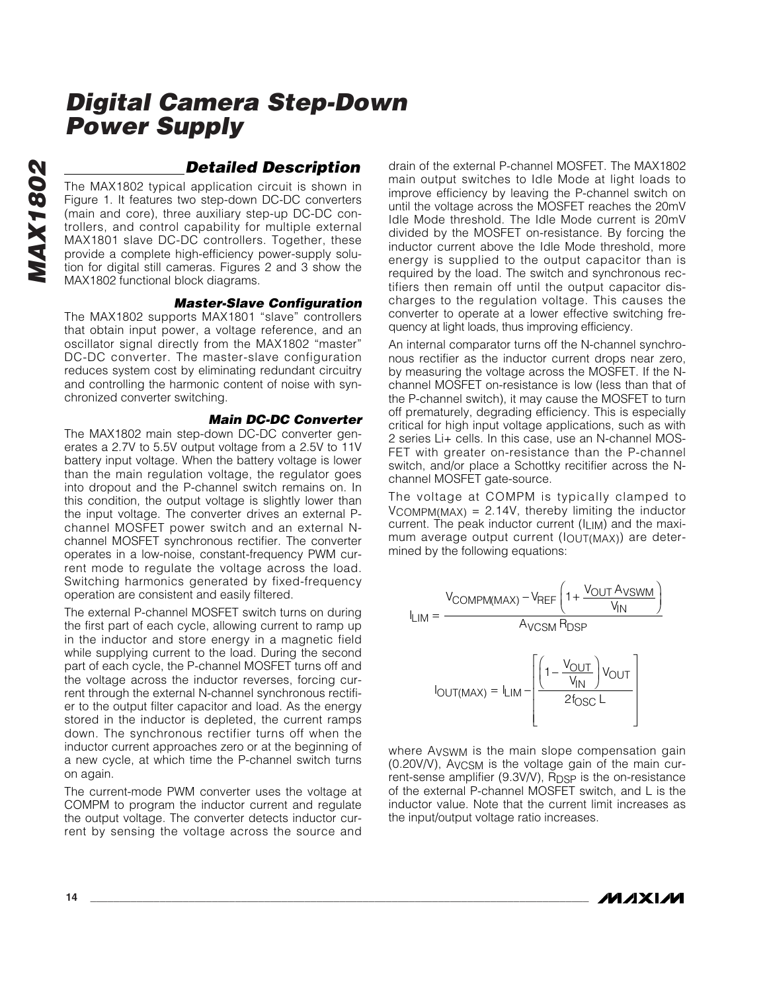### *Detailed Description*

The MAX1802 typical application circuit is shown in Figure 1. It features two step-down DC-DC converters (main and core), three auxiliary step-up DC-DC controllers, and control capability for multiple external MAX1801 slave DC-DC controllers. Together, these provide a complete high-efficiency power-supply solution for digital still cameras. Figures 2 and 3 show the MAX1802 functional block diagrams.

### *Master-Slave Configuration*

The MAX1802 supports MAX1801 "slave" controllers that obtain input power, a voltage reference, and an oscillator signal directly from the MAX1802 "master" DC-DC converter. The master-slave configuration reduces system cost by eliminating redundant circuitry and controlling the harmonic content of noise with synchronized converter switching.

### *Main DC-DC Converter*

The MAX1802 main step-down DC-DC converter generates a 2.7V to 5.5V output voltage from a 2.5V to 11V battery input voltage. When the battery voltage is lower than the main regulation voltage, the regulator goes into dropout and the P-channel switch remains on. In this condition, the output voltage is slightly lower than the input voltage. The converter drives an external Pchannel MOSFET power switch and an external Nchannel MOSFET synchronous rectifier. The converter operates in a low-noise, constant-frequency PWM current mode to regulate the voltage across the load. Switching harmonics generated by fixed-frequency operation are consistent and easily filtered.

The external P-channel MOSFET switch turns on during the first part of each cycle, allowing current to ramp up in the inductor and store energy in a magnetic field while supplying current to the load. During the second part of each cycle, the P-channel MOSFET turns off and the voltage across the inductor reverses, forcing current through the external N-channel synchronous rectifier to the output filter capacitor and load. As the energy stored in the inductor is depleted, the current ramps down. The synchronous rectifier turns off when the inductor current approaches zero or at the beginning of a new cycle, at which time the P-channel switch turns on again.

The current-mode PWM converter uses the voltage at COMPM to program the inductor current and regulate the output voltage. The converter detects inductor current by sensing the voltage across the source and drain of the external P-channel MOSFET. The MAX1802 main output switches to Idle Mode at light loads to improve efficiency by leaving the P-channel switch on until the voltage across the MOSFET reaches the 20mV Idle Mode threshold. The Idle Mode current is 20mV divided by the MOSFET on-resistance. By forcing the inductor current above the Idle Mode threshold, more energy is supplied to the output capacitor than is required by the load. The switch and synchronous rectifiers then remain off until the output capacitor discharges to the regulation voltage. This causes the converter to operate at a lower effective switching frequency at light loads, thus improving efficiency.

An internal comparator turns off the N-channel synchronous rectifier as the inductor current drops near zero, by measuring the voltage across the MOSFET. If the Nchannel MOSFET on-resistance is low (less than that of the P-channel switch), it may cause the MOSFET to turn off prematurely, degrading efficiency. This is especially critical for high input voltage applications, such as with 2 series Li+ cells. In this case, use an N-channel MOS-FET with greater on-resistance than the P-channel switch, and/or place a Schottky recitifier across the Nchannel MOSFET gate-source.

The voltage at COMPM is typically clamped to  $V_{\text{COMPM}(\text{MAX})} = 2.14V$ , thereby limiting the inductor current. The peak inductor current (ILIM) and the maximum average output current (IOUT(MAX)) are determined by the following equations:



where AVSWM is the main slope compensation gain (0.20V/V), AVCSM is the voltage gain of the main current-sense amplifier (9.3V/V), R<sub>DSP</sub> is the on-resistance of the external P-channel MOSFET switch, and L is the inductor value. Note that the current limit increases as the input/output voltage ratio increases.

**MAXM**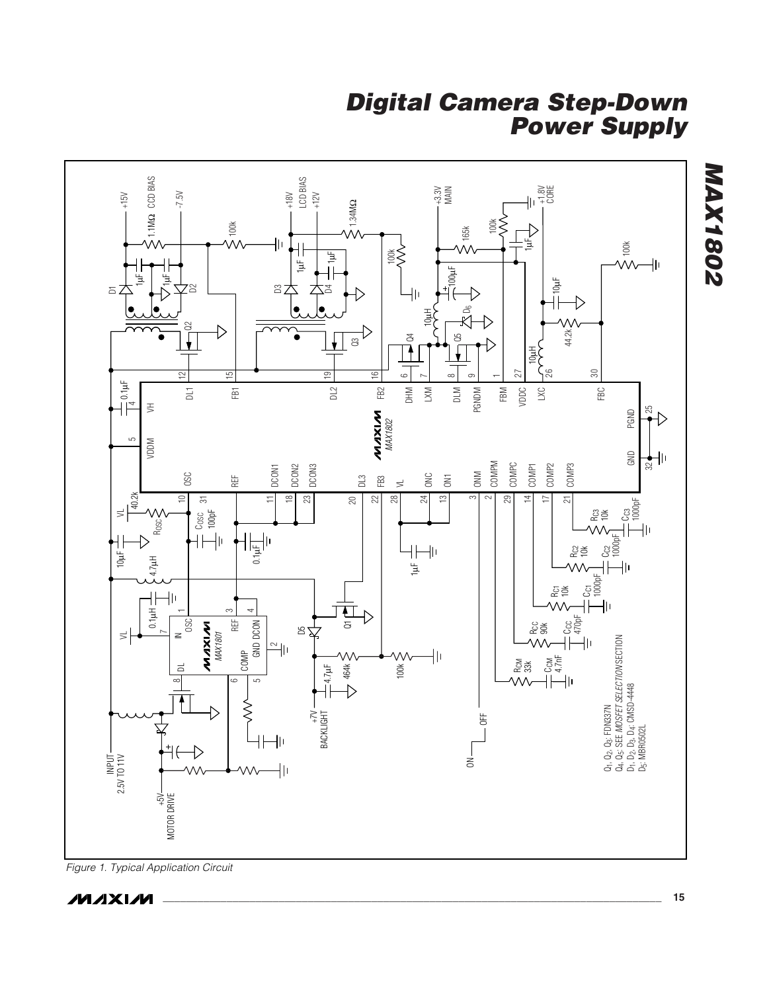

*Figure 1. Typical Application Circuit*

$$
\mathcal{N} \mathcal{N} \mathcal{N} \mathcal{N}
$$

*MAX1802*

**MAX1802**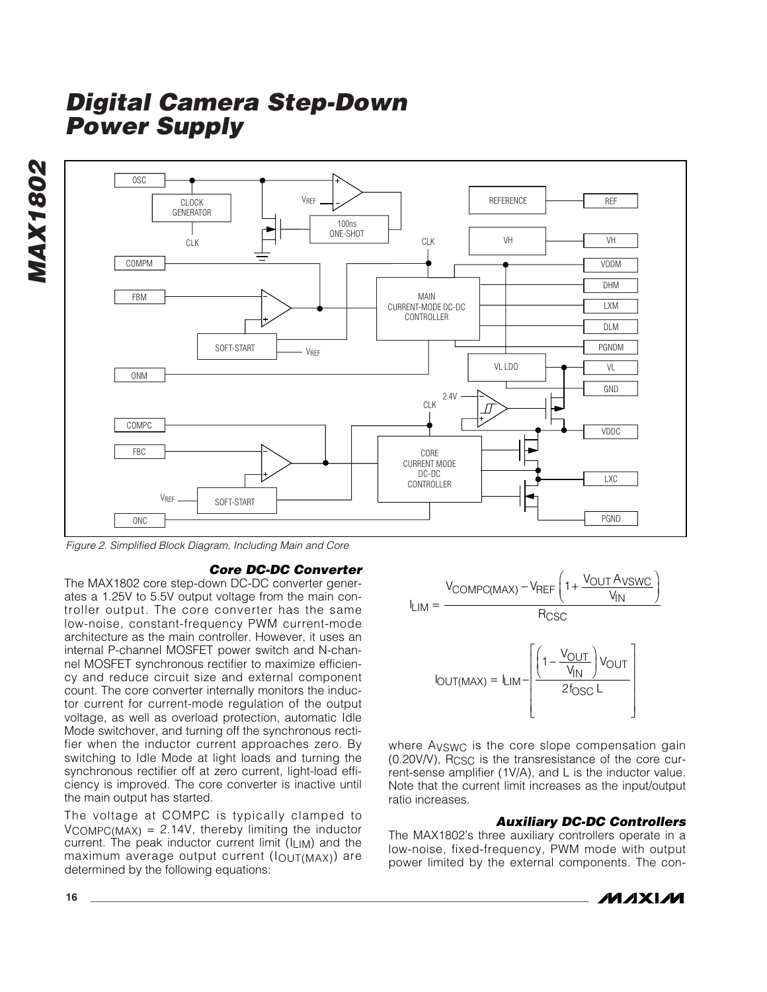*MAX1802* **MAX1802** 



*Figure 2. Simplified Block Diagram, Including Main and Core*

### *Core DC-DC Converter*

The MAX1802 core step-down DC-DC converter generates a 1.25V to 5.5V output voltage from the main controller output. The core converter has the same low-noise, constant-frequency PWM current-mode architecture as the main controller. However, it uses an internal P-channel MOSFET power switch and N-channel MOSFET synchronous rectifier to maximize efficiency and reduce circuit size and external component count. The core converter internally monitors the inductor current for current-mode regulation of the output voltage, as well as overload protection, automatic Idle Mode switchover, and turning off the synchronous rectifier when the inductor current approaches zero. By switching to Idle Mode at light loads and turning the synchronous rectifier off at zero current, light-load efficiency is improved. The core converter is inactive until the main output has started.

The voltage at COMPC is typically clamped to  $V_{COMPC(MAX)} = 2.14V$ , thereby limiting the inductor current. The peak inductor current limit  $(I<sub>LIM</sub>)$  and the maximum average output current (IOUT(MAX)) are determined by the following equations:



where AVSWC is the core slope compensation gain (0.20V/V), RCSC is the transresistance of the core current-sense amplifier (1V/A), and L is the inductor value. Note that the current limit increases as the input/output ratio increases.

### *Auxiliary DC-DC Controllers*

The MAX1802's three auxiliary controllers operate in a low-noise, fixed-frequency, PWM mode with output power limited by the external components. The con-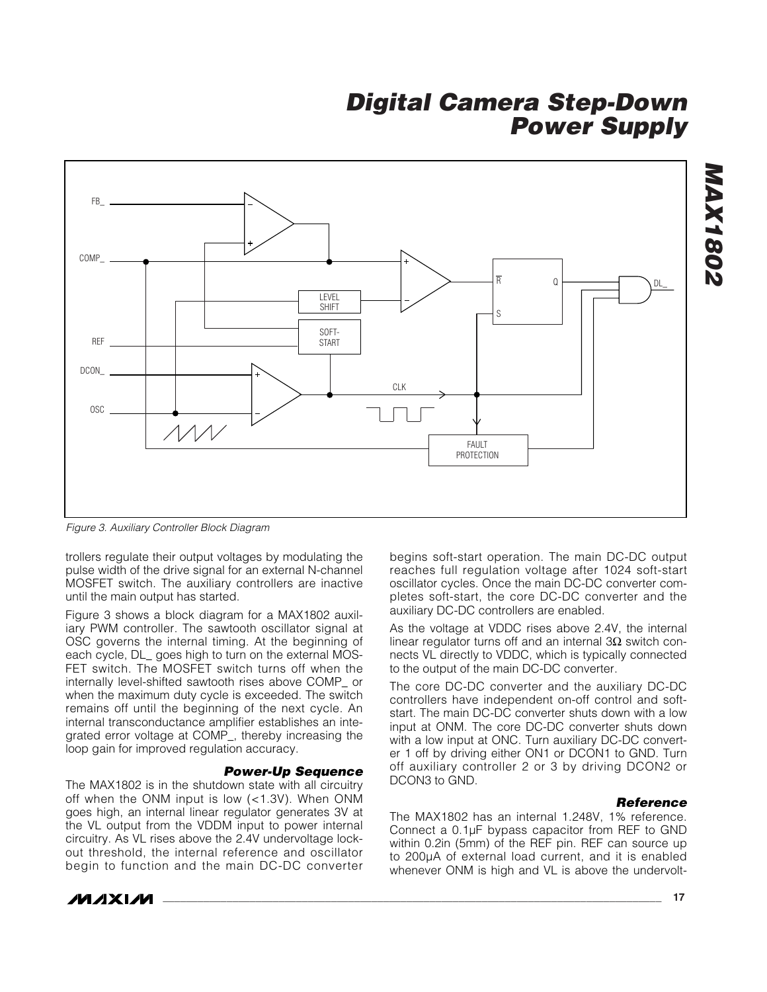

*Figure 3. Auxiliary Controller Block Diagram* 

trollers regulate their output voltages by modulating the pulse width of the drive signal for an external N-channel MOSFET switch. The auxiliary controllers are inactive until the main output has started.

Figure 3 shows a block diagram for a MAX1802 auxiliary PWM controller. The sawtooth oscillator signal at OSC governs the internal timing. At the beginning of each cycle, DL\_ goes high to turn on the external MOS-FET switch. The MOSFET switch turns off when the internally level-shifted sawtooth rises above COMP\_ or when the maximum duty cycle is exceeded. The switch remains off until the beginning of the next cycle. An internal transconductance amplifier establishes an integrated error voltage at COMP\_, thereby increasing the loop gain for improved regulation accuracy.

### *Power-Up Sequence*

The MAX1802 is in the shutdown state with all circuitry off when the ONM input is low (<1.3V). When ONM goes high, an internal linear regulator generates 3V at the VL output from the VDDM input to power internal circuitry. As VL rises above the 2.4V undervoltage lockout threshold, the internal reference and oscillator begin to function and the main DC-DC converter begins soft-start operation. The main DC-DC output reaches full regulation voltage after 1024 soft-start oscillator cycles. Once the main DC-DC converter completes soft-start, the core DC-DC converter and the auxiliary DC-DC controllers are enabled.

As the voltage at VDDC rises above 2.4V, the internal linear regulator turns off and an internal 3Ω switch connects VL directly to VDDC, which is typically connected to the output of the main DC-DC converter.

The core DC-DC converter and the auxiliary DC-DC controllers have independent on-off control and softstart. The main DC-DC converter shuts down with a low input at ONM. The core DC-DC converter shuts down with a low input at ONC. Turn auxiliary DC-DC converter 1 off by driving either ON1 or DCON1 to GND. Turn off auxiliary controller 2 or 3 by driving DCON2 or DCON3 to GND.

### *Reference*

The MAX1802 has an internal 1.248V, 1% reference. Connect a 0.1µF bypass capacitor from REF to GND within 0.2in (5mm) of the REF pin. REF can source up to 200µA of external load current, and it is enabled whenever ONM is high and VL is above the undervolt-



*IVI AXI IVI* 

*MAX1802*

**MAX1802**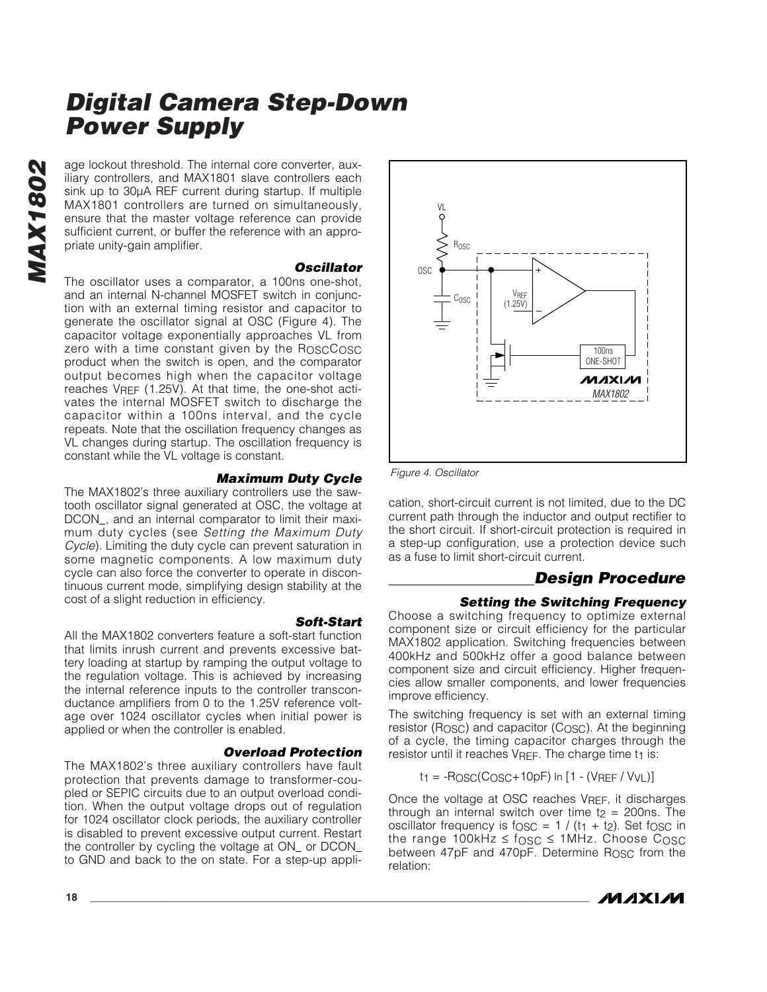age lockout threshold. The internal core converter, auxiliary controllers, and MAX1801 slave controllers each sink up to 30µA REF current during startup. If multiple MAX1801 controllers are turned on simultaneously, ensure that the master voltage reference can provide sufficient current, or buffer the reference with an appropriate unity-gain amplifier.

#### *Oscillator*

The oscillator uses a comparator, a 100ns one-shot, and an internal N-channel MOSFET switch in conjunction with an external timing resistor and capacitor to generate the oscillator signal at OSC (Figure 4). The capacitor voltage exponentially approaches VL from zero with a time constant given by the ROSCCOSC product when the switch is open, and the comparator output becomes high when the capacitor voltage reaches VREF (1.25V). At that time, the one-shot activates the internal MOSFET switch to discharge the capacitor within a 100ns interval, and the cycle repeats. Note that the oscillation frequency changes as VL changes during startup. The oscillation frequency is constant while the VL voltage is constant.

### *Maximum Duty Cycle*

The MAX1802's three auxiliary controllers use the sawtooth oscillator signal generated at OSC, the voltage at DCON\_, and an internal comparator to limit their maximum duty cycles (see *Setting the Maximum Duty Cycle*). Limiting the duty cycle can prevent saturation in some magnetic components. A low maximum duty cycle can also force the converter to operate in discontinuous current mode, simplifying design stability at the cost of a slight reduction in efficiency.

*Soft-Start* All the MAX1802 converters feature a soft-start function that limits inrush current and prevents excessive battery loading at startup by ramping the output voltage to the regulation voltage. This is achieved by increasing the internal reference inputs to the controller transconductance amplifiers from 0 to the 1.25V reference voltage over 1024 oscillator cycles when initial power is applied or when the controller is enabled.

### *Overload Protection*

The MAX1802's three auxiliary controllers have fault protection that prevents damage to transformer-coupled or SEPIC circuits due to an output overload condition. When the output voltage drops out of regulation for 1024 oscillator clock periods, the auxiliary controller is disabled to prevent excessive output current. Restart the controller by cycling the voltage at ON\_ or DCON\_ to GND and back to the on state. For a step-up appli-





*Figure 4. Oscillator*

cation, short-circuit current is not limited, due to the DC current path through the inductor and output rectifier to the short circuit. If short-circuit protection is required in a step-up configuration, use a protection device such as a fuse to limit short-circuit current.

### *Design Procedure*

### *Setting the Switching Frequency*

Choose a switching frequency to optimize external component size or circuit efficiency for the particular MAX1802 application. Switching frequencies between 400kHz and 500kHz offer a good balance between component size and circuit efficiency. Higher frequencies allow smaller components, and lower frequencies improve efficiency.

The switching frequency is set with an external timing resistor ( $R$ <sub>OSC</sub>) and capacitor ( $C$ <sub>OSC</sub>). At the beginning of a cycle, the timing capacitor charges through the resistor until it reaches  $V_{REF}$ . The charge time  $t_1$  is:

 $t_1 = -Rosc(Cosc + 10pF)$  In  $[1 - (V_{REF} / V_{VL})]$ 

Once the voltage at OSC reaches VREF, it discharges through an internal switch over time  $t_2$  = 200ns. The oscillator frequency is  $f$ <sub>OSC</sub> =  $1 / (t_1 + t_2)$ . Set  $f$ <sub>OSC</sub> in the range 100kHz  $\leq$  fosc  $\leq$  1MHz. Choose Cosc between 47pF and 470pF. Determine R<sub>OSC</sub> from the relation: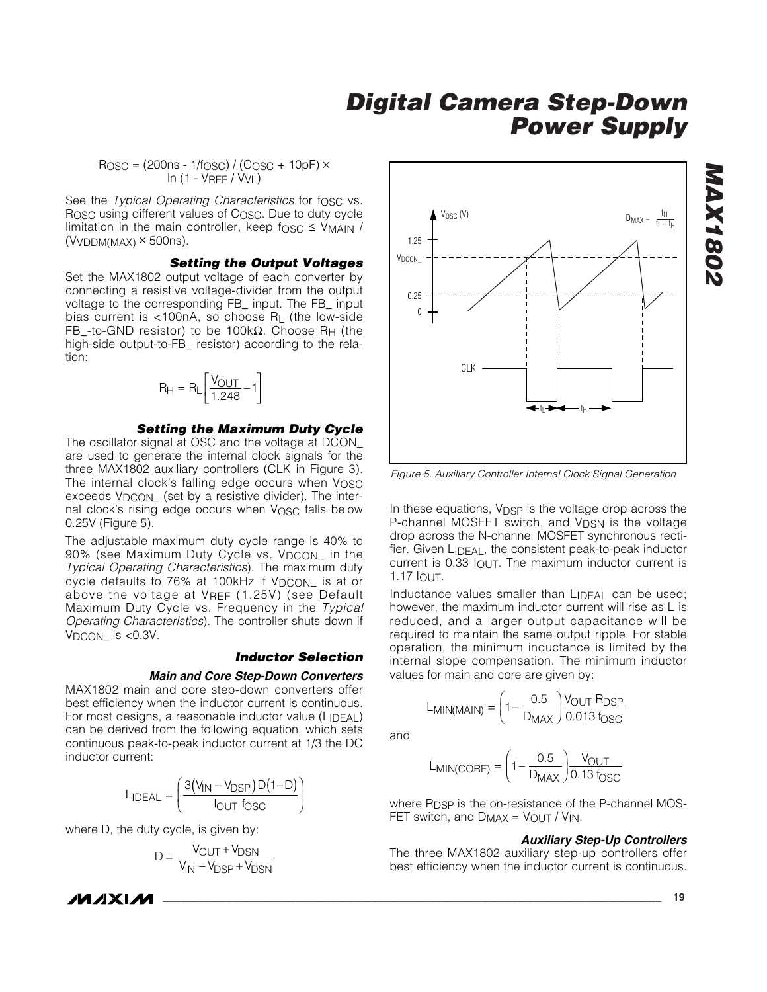$R$ OSC = (200ns - 1/fOSC) / (COSC + 10pF)  $\times$ ln (1 - VREF / VVL)

See the *Typical Operating Characteristics* for f<sub>OSC</sub> vs. Rosc using different values of Cosc. Due to duty cycle limitation in the main controller, keep fosc  $\leq$  V<sub>MAIN</sub> /  $(VVDDM(MAX) \times 500$ ns).

#### *Setting the Output Voltages*

Set the MAX1802 output voltage of each converter by connecting a resistive voltage-divider from the output voltage to the corresponding FB\_ input. The FB\_ input bias current is <100nA, so choose RL (the low-side FB\_-to-GND resistor) to be 100kΩ. Choose RH (the high-side output-to-FB\_ resistor) according to the relation:

$$
R_{H} = R_{L} \left[ \frac{V_{OUT}}{1.248} - 1 \right]
$$

#### *Setting the Maximum Duty Cycle*

The oscillator signal at OSC and the voltage at DCON\_ are used to generate the internal clock signals for the three MAX1802 auxiliary controllers (CLK in Figure 3). The internal clock's falling edge occurs when VOSC exceeds V<sub>DCON</sub> (set by a resistive divider). The internal clock's rising edge occurs when VOSC falls below 0.25V (Figure 5).

The adjustable maximum duty cycle range is 40% to 90% (see Maximum Duty Cycle vs. V<sub>DCON</sub> in the *Typical Operating Characteristics*). The maximum duty cycle defaults to 76% at 100kHz if V<sub>DCON</sub> is at or above the voltage at VRFF (1.25V) (see Default Maximum Duty Cycle vs. Frequency in the *Typical Operating Characteristics*). The controller shuts down if  $V_{DCON}$  is <0.3V.

### *Inductor Selection*

#### *Main and Core Step-Down Converters*

MAX1802 main and core step-down converters offer best efficiency when the inductor current is continuous. For most designs, a reasonable inductor value (LIDEAL) can be derived from the following equation, which sets continuous peak-to-peak inductor current at 1/3 the DC inductor current:

$$
L_{\text{IDEAL}} = \left(\frac{3(V_{\text{IN}} - V_{\text{DSP}})D(1 - D)}{I_{\text{OUT}}f_{\text{OSC}}}\right)
$$

where D, the duty cycle, is given by:

$$
D = \frac{V_{OUT} + V_{DSN}}{V_{IN} - V_{DSP} + V_{DSN}}
$$



*Figure 5. Auxiliary Controller Internal Clock Signal Generation* 

In these equations, V<sub>DSP</sub> is the voltage drop across the P-channel MOSFET switch, and V<sub>DSN</sub> is the voltage drop across the N-channel MOSFET synchronous rectifier. Given LIDEAL, the consistent peak-to-peak inductor current is 0.33 IOUT. The maximum inductor current is 1.17 IOUT.

Inductance values smaller than LIDEAL can be used; however, the maximum inductor current will rise as L is reduced, and a larger output capacitance will be required to maintain the same output ripple. For stable operation, the minimum inductance is limited by the internal slope compensation. The minimum inductor values for main and core are given by:

and

$$
L_{MIN(CORE)} = \left(1 - \frac{0.5}{D_{MAX}}\right) \frac{V_{OUT}}{0.13 f_{OSC}}
$$

 $MIN(MAIN) = \left(1 - \frac{1}{D_{MAX}}\right)$  0.013 f  $(MAIN) = \left(1 - \frac{0.5}{D_{MAX}}\right) \frac{VOUT TDSP}{0.013 f_{OSC}}$  $= \left(1 - \frac{0.5}{D_{MAX}}\right) \frac{V_C}{0.1}$ 

 $L_{MIN(MAIN)} = \left(1 - \frac{1}{D}\right)$ 

where R<sub>DSP</sub> is the on-resistance of the P-channel MOS-FET switch, and  $D_{MAX} = V_{OUT} / V_{IN}$ .

#### *Auxiliary Step-Up Controllers*

V<sub>OUT</sub> R

 $\overline{\phantom{a}}$  $1 - \frac{0.5}{D_{MAX}} \frac{V_{OUT}}{0.013}$ 

The three MAX1802 auxiliary step-up controllers offer best efficiency when the inductor current is continuous.

*IVI AXI IVI*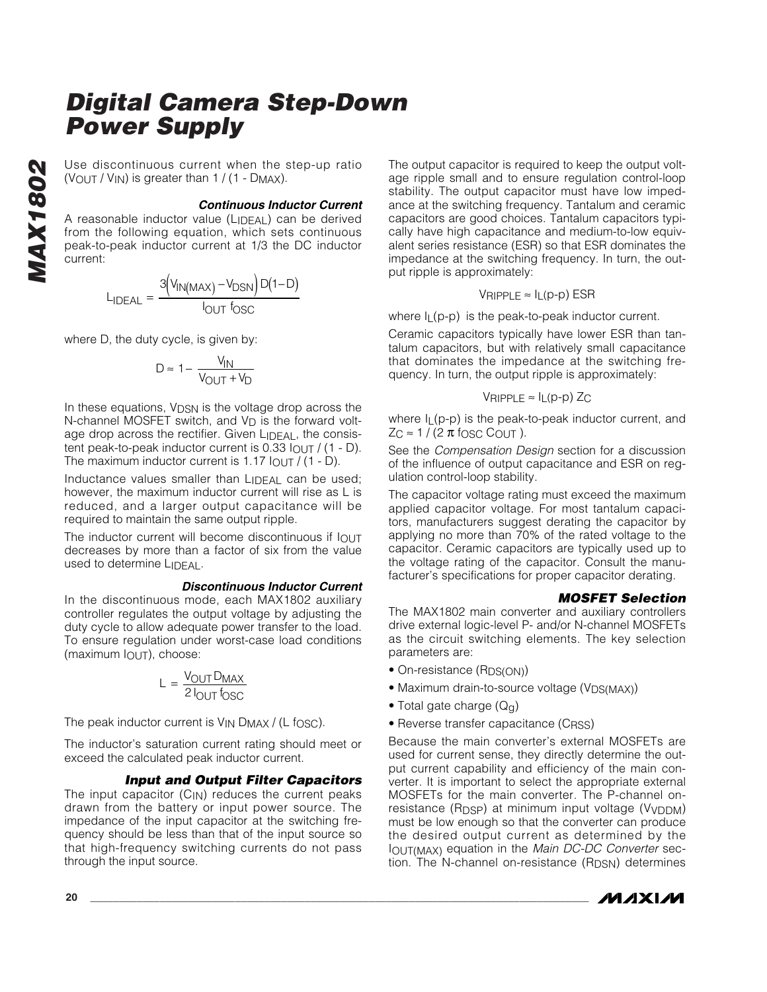Use discontinuous current when the step-up ratio  $(V_{\text{OUT}}/V_{\text{IN}})$  is greater than 1 / (1 - DMAX).

#### *Continuous Inductor Current*

A reasonable inductor value (LIDEAL) can be derived from the following equation, which sets continuous peak-to-peak inductor current at 1/3 the DC inductor current:

$$
L_{\text{IDEAL}} = \frac{3(V_{\text{IN}(\text{MAX})} - V_{\text{DSN}})D(1 - D)}{I_{\text{OUT}}f_{\text{OSC}}}
$$

where D, the duty cycle, is given by:

$$
D \approx 1 - \frac{V_{IN}}{V_{OUT} + V_D}
$$

In these equations, V<sub>DSN</sub> is the voltage drop across the N-channel MOSFET switch, and V<sub>D</sub> is the forward voltage drop across the rectifier. Given LIDEAL, the consistent peak-to-peak inductor current is 0.33 IOUT / (1 - D). The maximum inductor current is 1.17  $I_{OUT}$  / (1 - D).

Inductance values smaller than LIDFAL can be used; however, the maximum inductor current will rise as L is reduced, and a larger output capacitance will be required to maintain the same output ripple.

The inductor current will become discontinuous if lout decreases by more than a factor of six from the value used to determine LIDEAL.

### *Discontinuous Inductor Current*

In the discontinuous mode, each MAX1802 auxiliary controller regulates the output voltage by adjusting the duty cycle to allow adequate power transfer to the load. To ensure regulation under worst-case load conditions (maximum IOUT), choose:

$$
L = \frac{V_{OUT}D_{MAX}}{2 I_{OUT} f_{OSC}}
$$

The peak inductor current is  $V_{IN}$  D<sub>MAX</sub> / (L f<sub>OSC</sub>).

The inductor's saturation current rating should meet or exceed the calculated peak inductor current.

### *Input and Output Filter Capacitors*

The input capacitor  $(C_{IN})$  reduces the current peaks drawn from the battery or input power source. The impedance of the input capacitor at the switching frequency should be less than that of the input source so that high-frequency switching currents do not pass through the input source.

The output capacitor is required to keep the output voltage ripple small and to ensure regulation control-loop stability. The output capacitor must have low impedance at the switching frequency. Tantalum and ceramic capacitors are good choices. Tantalum capacitors typically have high capacitance and medium-to-low equivalent series resistance (ESR) so that ESR dominates the impedance at the switching frequency. In turn, the output ripple is approximately:

$$
V_{RIPPLE} \approx I_L(p-p) ESR
$$

where  $I_L(p-p)$  is the peak-to-peak inductor current.

Ceramic capacitors typically have lower ESR than tantalum capacitors, but with relatively small capacitance that dominates the impedance at the switching frequency. In turn, the output ripple is approximately:

$$
V_{RIPPLE} \approx I_L(p-p) Z_C
$$

where  $I_L(p-p)$  is the peak-to-peak inductor current, and  $Z_C \approx 1 / (2 \pi \text{ f} \cos C \text{ C} \cos T)$ .

See the *Compensation Design* section for a discussion of the influence of output capacitance and ESR on regulation control-loop stability.

The capacitor voltage rating must exceed the maximum applied capacitor voltage. For most tantalum capacitors, manufacturers suggest derating the capacitor by applying no more than 70% of the rated voltage to the capacitor. Ceramic capacitors are typically used up to the voltage rating of the capacitor. Consult the manufacturer's specifications for proper capacitor derating.

### *MOSFET Selection*

The MAX1802 main converter and auxiliary controllers drive external logic-level P- and/or N-channel MOSFETs as the circuit switching elements. The key selection parameters are:

- On-resistance (R<sub>DS(ON)</sub>)
- Maximum drain-to-source voltage (V<sub>DS(MAX)</sub>)
- Total gate charge  $(Q_q)$
- Reverse transfer capacitance (CRSS)

Because the main converter's external MOSFETs are used for current sense, they directly determine the output current capability and efficiency of the main converter. It is important to select the appropriate external MOSFETs for the main converter. The P-channel on $resistance (R_{DSP})$  at minimum input voltage (V<sub>VDDM</sub>) must be low enough so that the converter can produce the desired output current as determined by the IOUT(MAX) equation in the *Main DC-DC Converter* section. The N-channel on-resistance  $(R_{DSN})$  determines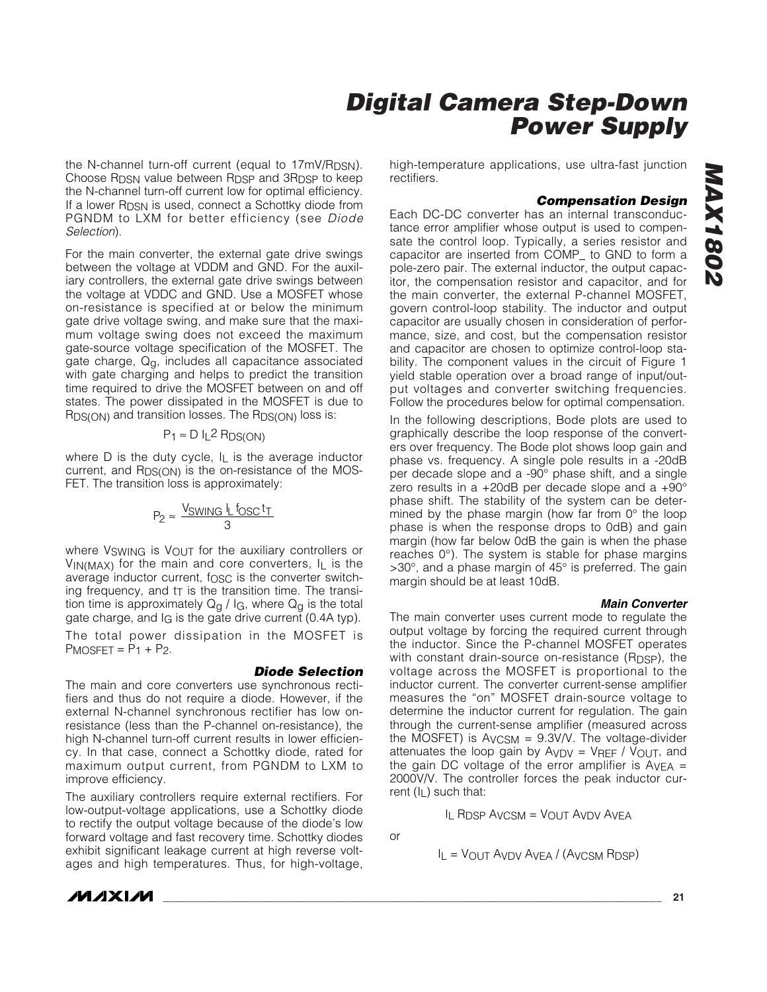the N-channel turn-off current (equal to 17mV/Rpsn). Choose R<sub>DSN</sub> value between R<sub>DSP</sub> and 3R<sub>DSP</sub> to keep the N-channel turn-off current low for optimal efficiency. If a lower R<sub>DSN</sub> is used, connect a Schottky diode from PGNDM to LXM for better efficiency (see *Diode Selection*).

For the main converter, the external gate drive swings between the voltage at VDDM and GND. For the auxiliary controllers, the external gate drive swings between the voltage at VDDC and GND. Use a MOSFET whose on-resistance is specified at or below the minimum gate drive voltage swing, and make sure that the maximum voltage swing does not exceed the maximum gate-source voltage specification of the MOSFET. The gate charge,  $Q<sub>q</sub>$ , includes all capacitance associated with gate charging and helps to predict the transition time required to drive the MOSFET between on and off states. The power dissipated in the MOSFET is due to R<sub>DS(ON)</sub> and transition losses. The R<sub>DS(ON)</sub> loss is:

### $P_1 \approx D I_L^2 RDS(ON)$

where D is the duty cycle, I<sub>L</sub> is the average inductor current, and R<sub>DS(ON)</sub> is the on-resistance of the MOS-FET. The transition loss is approximately:

$$
P_2 \approx \frac{V_{SWING} l_L f_{OSC} t_T}{3}
$$

where VSWING is VOUT for the auxiliary controllers or  $V_{IN(MAX)}$  for the main and core converters,  $I_L$  is the average inductor current, fOSC is the converter switching frequency, and  $t\bar{t}$  is the transition time. The transition time is approximately  $Q<sub>g</sub>$  / I<sub>G</sub>, where  $Q<sub>g</sub>$  is the total gate charge, and IG is the gate drive current (0.4A typ).

The total power dissipation in the MOSFET is  $P$ MOSFET =  $P_1$  +  $P_2$ .

#### *Diode Selection*

The main and core converters use synchronous rectifiers and thus do not require a diode. However, if the external N-channel synchronous rectifier has low onresistance (less than the P-channel on-resistance), the high N-channel turn-off current results in lower efficiency. In that case, connect a Schottky diode, rated for maximum output current, from PGNDM to LXM to improve efficiency.

The auxiliary controllers require external rectifiers. For low-output-voltage applications, use a Schottky diode to rectify the output voltage because of the diode's low forward voltage and fast recovery time. Schottky diodes exhibit significant leakage current at high reverse voltages and high temperatures. Thus, for high-voltage, high-temperature applications, use ultra-fast junction rectifiers.

#### *Compensation Design*

Each DC-DC converter has an internal transconductance error amplifier whose output is used to compensate the control loop. Typically, a series resistor and capacitor are inserted from COMP\_ to GND to form a pole-zero pair. The external inductor, the output capacitor, the compensation resistor and capacitor, and for the main converter, the external P-channel MOSFET, govern control-loop stability. The inductor and output capacitor are usually chosen in consideration of performance, size, and cost, but the compensation resistor and capacitor are chosen to optimize control-loop stability. The component values in the circuit of Figure 1 yield stable operation over a broad range of input/output voltages and converter switching frequencies. Follow the procedures below for optimal compensation.

In the following descriptions, Bode plots are used to graphically describe the loop response of the converters over frequency. The Bode plot shows loop gain and phase vs. frequency. A single pole results in a -20dB per decade slope and a -90° phase shift, and a single zero results in a +20dB per decade slope and a +90° phase shift. The stability of the system can be determined by the phase margin (how far from 0° the loop phase is when the response drops to 0dB) and gain margin (how far below 0dB the gain is when the phase reaches 0°). The system is stable for phase margins >30°, and a phase margin of 45° is preferred. The gain margin should be at least 10dB.

#### *Main Converter*

The main converter uses current mode to regulate the output voltage by forcing the required current through the inductor. Since the P-channel MOSFET operates with constant drain-source on-resistance  $(R_{\text{DSP}})$ , the voltage across the MOSFET is proportional to the inductor current. The converter current-sense amplifier measures the "on" MOSFET drain-source voltage to determine the inductor current for regulation. The gain through the current-sense amplifier (measured across the MOSFET) is  $Av_{CSM} = 9.3V/V$ . The voltage-divider attenuates the loop gain by  $AVDV = VREF / VOUT$ , and the gain DC voltage of the error amplifier is  $AVEA =$ 2000V/V. The controller forces the peak inductor current  $(I_L)$  such that:

IL RDSP AVCSM = VOUT AVDV AVEA

or

 $I_L = V_{OUT}$  Avdy Avea / (Avcsm Rdsp)

**MAXM**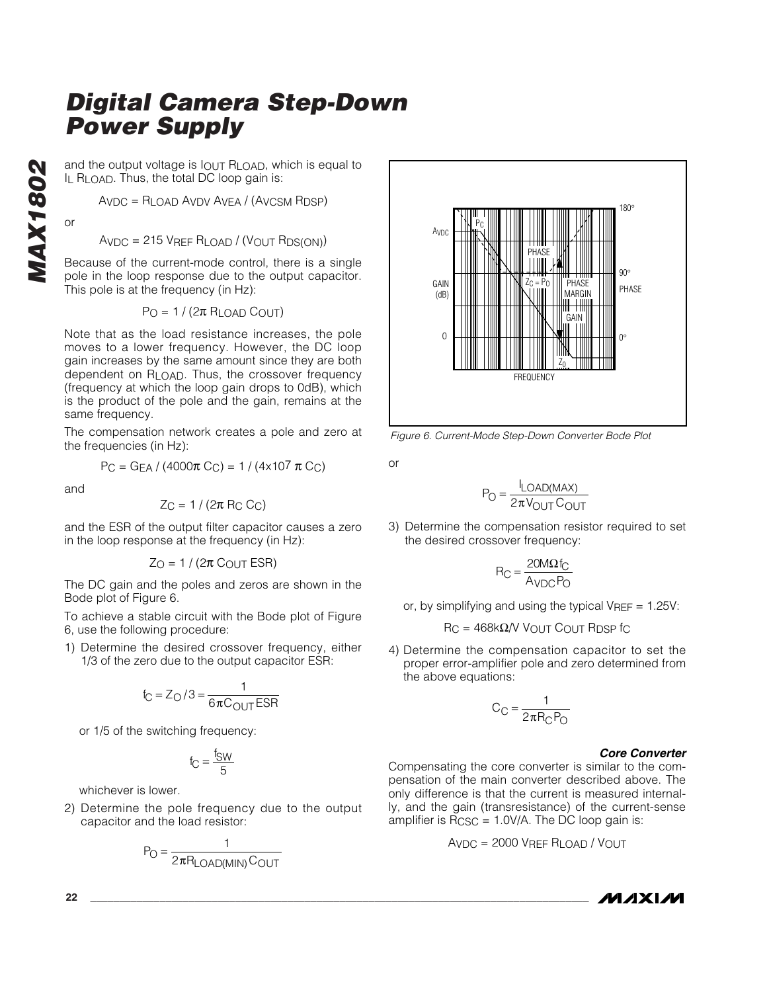and the output voltage is  $I_{\text{OUT}}$  R<sub>LOAD</sub>, which is equal to IL RLOAD. Thus, the total DC loop gain is:

AVDC = RLOAD AVDV AVEA / (AVCSM RDSP)

or

AVDC = 215 VREF RLOAD / (VOUT RDS(ON))

Because of the current-mode control, there is a single pole in the loop response due to the output capacitor. This pole is at the frequency (in Hz):

 $P_O = 1 / (2\pi R_{LOAD} C_{OUT})$ 

Note that as the load resistance increases, the pole moves to a lower frequency. However, the DC loop gain increases by the same amount since they are both dependent on R<sub>LOAD</sub>. Thus, the crossover frequency (frequency at which the loop gain drops to 0dB), which is the product of the pole and the gain, remains at the same frequency.

The compensation network creates a pole and zero at the frequencies (in Hz):

$$
P_C = G_{EA} / (4000\pi C_C) = 1 / (4 \times 10^7 \pi C_C)
$$

and

$$
Z_C = 1 / (2\pi \, \text{R}_C \, C_C)
$$

and the ESR of the output filter capacitor causes a zero in the loop response at the frequency (in Hz):

$$
Z_O = 1 / (2\pi \, \text{C}_{OUT} \, \text{ESR})
$$

The DC gain and the poles and zeros are shown in the Bode plot of Figure 6.

To achieve a stable circuit with the Bode plot of Figure 6, use the following procedure:

1) Determine the desired crossover frequency, either 1/3 of the zero due to the output capacitor ESR:

$$
f_C = Z_O / 3 = \frac{1}{6\pi C_{OUT}ESR}
$$

or 1/5 of the switching frequency:

$$
f_C = \frac{f_{SW}}{5}
$$

whichever is lower.

2) Determine the pole frequency due to the output capacitor and the load resistor:

$$
P_O = \frac{1}{2\pi R_{LOAD(MIN)}C_{OUT}}
$$



*Figure 6. Current-Mode Step-Down Converter Bode Plot*

or

$$
P_O = \frac{I_{LOAD(MAX)}}{2\pi V_{OUT}C_{OUT}}
$$

3) Determine the compensation resistor required to set the desired crossover frequency:

$$
R_C = \frac{20M\Omega f_C}{A_{VDC}P_O}
$$

or, by simplifying and using the typical  $V_{REF} = 1.25V$ :

 $RC = 468k\Omega/V$  VOUT COUT RDSP fc

4) Determine the compensation capacitor to set the proper error-amplifier pole and zero determined from the above equations:

$$
C_C = \frac{1}{2\pi R_C P_O}
$$

#### *Core Converter*

Compensating the core converter is similar to the compensation of the main converter described above. The only difference is that the current is measured internally, and the gain (transresistance) of the current-sense amplifier is  $R_{\text{CSC}} = 1.0V/A$ . The DC loop gain is:

$$
A_{\text{VDC}} = 2000 \, \text{V}_\text{REF} \, R_{\text{LOAD}} \, / \, V_{\text{OUT}}
$$

$$
\boldsymbol{M}\boldsymbol{\Lambda}\boldsymbol{X}\boldsymbol{I}\boldsymbol{\mathcal{M}}
$$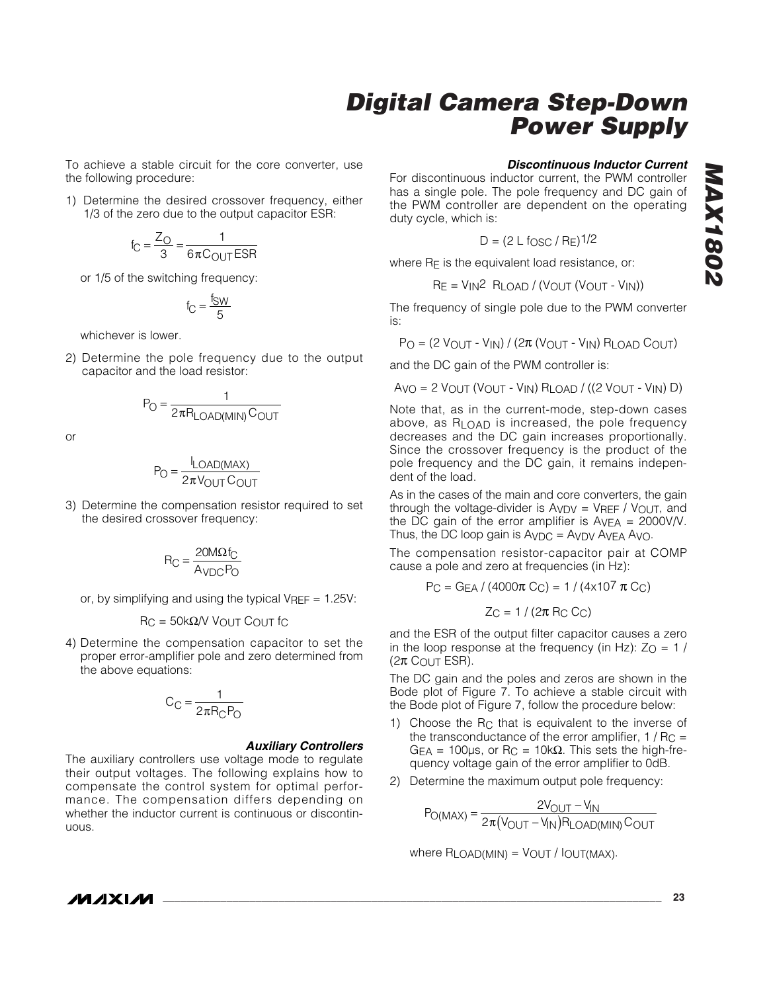To achieve a stable circuit for the core converter, use the following procedure:

1) Determine the desired crossover frequency, either 1/3 of the zero due to the output capacitor ESR:

$$
f_C = \frac{Z_O}{3} = \frac{1}{6\pi C_{OUT}ESR}
$$

or 1/5 of the switching frequency:

$$
f_C = \frac{f_{SW}}{5}
$$

whichever is lower.

2) Determine the pole frequency due to the output capacitor and the load resistor:

$$
P_O = \frac{1}{2\pi R_{LOAD(MIN)}C_{OUT}}
$$

or

$$
P_O = \frac{I_{LOAD(MAX)}}{2\pi V_{OUT}C_{OUT}}
$$

3) Determine the compensation resistor required to set the desired crossover frequency:

$$
R_C = \frac{20M\Omega f_C}{A_{VDC}P_O}
$$

or, by simplifying and using the typical  $V_{REF} = 1.25V$ :

$$
RC = 50k\Omega/V
$$
 VOUT COUT fc

4) Determine the compensation capacitor to set the proper error-amplifier pole and zero determined from the above equations:

$$
C_C = \frac{1}{2\pi R_C P_O}
$$

#### *Auxiliary Controllers*

The auxiliary controllers use voltage mode to regulate their output voltages. The following explains how to compensate the control system for optimal performance. The compensation differs depending on whether the inductor current is continuous or discontinuous.

#### *Discontinuous Inductor Current*

For discontinuous inductor current, the PWM controller has a single pole. The pole frequency and DC gain of the PWM controller are dependent on the operating duty cycle, which is:

$$
D = (2 \text{ L } \text{fosc} / \text{Re})^{1/2}
$$

where R<sub>E</sub> is the equivalent load resistance, or:

$$
R_E = V_{IN}^2 \quad R_{LOAD} / (V_{OUT} (V_{OUT} - V_{IN}))
$$

The frequency of single pole due to the PWM converter is:

 $P_O = (2 V_{OUT} - V_{IN}) / (2\pi (V_{OUT} - V_{IN}) R_{LOAD} C_{OUT})$ 

and the DC gain of the PWM controller is:

 $AvO = 2 VOUT (VOUT - VIN) RLOAD / ((2 VOUT - VIN) D)$ 

Note that, as in the current-mode, step-down cases above, as  $R_{\text{I}}$   $\cap$  an is increased, the pole frequency decreases and the DC gain increases proportionally. Since the crossover frequency is the product of the pole frequency and the DC gain, it remains independent of the load.

As in the cases of the main and core converters, the gain through the voltage-divider is  $A_{VDV}$  =  $V_{REF}$  /  $V_{OUT}$ , and the DC gain of the error amplifier is  $A_{VEA} = 2000V/V$ . Thus, the DC loop gain is  $A_{VDC} = A_{VDV} A_{VEA} A_{VOL}$ .

The compensation resistor-capacitor pair at COMP cause a pole and zero at frequencies (in Hz):

$$
P_C = G_{EA} / (4000\pi C_C) = 1 / (4 \times 10^7 \pi C_C)
$$

$$
Z_{\rm C} = 1/(2\pi \, \text{R}_{\rm C} \, \text{C}_{\rm C})
$$

and the ESR of the output filter capacitor causes a zero in the loop response at the frequency (in Hz):  $Z_0 = 1/$  $(2π C<sub>OUT</sub> ESR).$ 

The DC gain and the poles and zeros are shown in the Bode plot of Figure 7. To achieve a stable circuit with the Bode plot of Figure 7, follow the procedure below:

- 1) Choose the RC that is equivalent to the inverse of the transconductance of the error amplifier,  $1/R_C =$  $GEA = 100 \mu s$ , or R<sub>C</sub> = 10k $\Omega$ . This sets the high-frequency voltage gain of the error amplifier to 0dB.
- 2) Determine the maximum output pole frequency:

 $P_{O(MAX)} = \frac{29001 - 91N}{2\pi (9001 - 91N)R_{LOAD(MIN)}C_{OUT}}$ <u>= 2π(Vout - Vin Pload(min)</u><br>Σπ(Vout - Vin)Rload(min)

where  $R_{LOAD(MIN)} = V_{OUT} / I_{OUT(MAX)}$ .

### **MAXIM**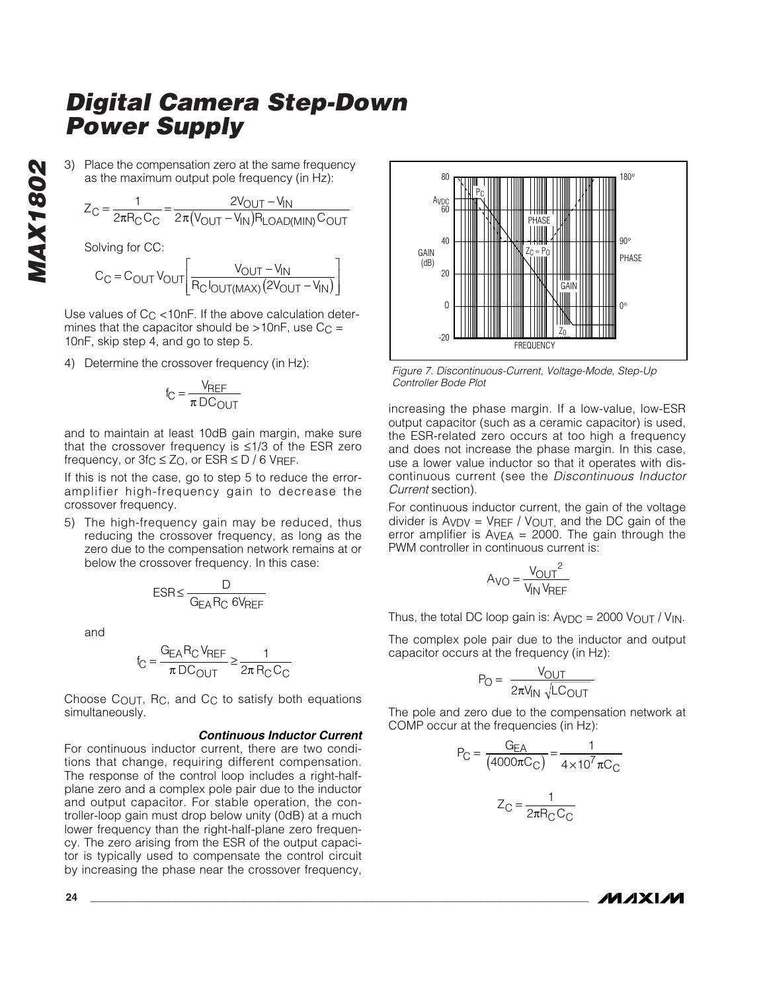*MAX1802* **MAX1802**  3) Place the compensation zero at the same frequency as the maximum output pole frequency (in Hz):

$$
Z_{\rm C} = \frac{1}{2\pi R_{\rm C} C_{\rm C}} = \frac{2V_{\rm OUT} - V_{\rm IN}}{2\pi (V_{\rm OUT} - V_{\rm IN}) R_{\rm LOAD(MIN)} C_{\rm OUT}}
$$

Solving for CC:

$$
C_{C} = C_{OUT} V_{OUT} \left[ \frac{V_{OUT} - V_{IN}}{R_{C} I_{OUT(MAX)} (2V_{OUT} - V_{IN})} \right]
$$

Use values of  $C_{C}$  < 10nF. If the above calculation determines that the capacitor should be  $>10nF$ , use  $C_C =$ 10nF, skip step 4, and go to step 5.

4) Determine the crossover frequency (in Hz):

$$
f_C = \frac{V_{REF}}{\pi \, DC_{OUT}}
$$

and to maintain at least 10dB gain margin, make sure that the crossover frequency is ≤1/3 of the ESR zero frequency, or  $3fC \leq Z_O$ , or  $ESR \leq D / 6$  VREF.

If this is not the case, go to step 5 to reduce the erroramplifier high-frequency gain to decrease the crossover frequency.

5) The high-frequency gain may be reduced, thus reducing the crossover frequency, as long as the zero due to the compensation network remains at or below the crossover frequency. In this case:

$$
ESR \leq \frac{D}{G_{EA}R_C 6V_{REF}}
$$

and

$$
f_C = \frac{G_{EA}R_C V_{REF}}{\pi D C_{OUT}} \ge \frac{1}{2\pi R_C C_C}
$$

Choose COUT, RC, and CC to satisfy both equations simultaneously.

#### *Continuous Inductor Current*

For continuous inductor current, there are two conditions that change, requiring different compensation. The response of the control loop includes a right-halfplane zero and a complex pole pair due to the inductor and output capacitor. For stable operation, the controller-loop gain must drop below unity (0dB) at a much lower frequency than the right-half-plane zero frequency. The zero arising from the ESR of the output capacitor is typically used to compensate the control circuit by increasing the phase near the crossover frequency,



*Figure 7. Discontinuous-Current, Voltage-Mode, Step-Up Controller Bode Plot*

increasing the phase margin. If a low-value, low-ESR output capacitor (such as a ceramic capacitor) is used, the ESR-related zero occurs at too high a frequency and does not increase the phase margin. In this case, use a lower value inductor so that it operates with discontinuous current (see the *Discontinuous Inductor Current* section).

For continuous inductor current, the gain of the voltage divider is  $AVDV = VREF / VOUT$ , and the DC gain of the error amplifier is  $A_{VEA} = 2000$ . The gain through the PWM controller in continuous current is:

$$
A_{\text{VO}} = \frac{V_{\text{OUT}}^2}{V_{\text{IN}} V_{\text{REF}}}
$$

Thus, the total DC loop gain is:  $A_{VDC} = 2000 V_{OUT} / V_{IN}$ .

The complex pole pair due to the inductor and output capacitor occurs at the frequency (in Hz):

$$
P_O = \frac{V_{OUT}}{2\pi V_{IN} \sqrt{LC_{OUT}}}
$$

The pole and zero due to the compensation network at COMP occur at the frequencies (in Hz):

$$
P_C = \frac{G_{EA}}{(4000\pi C_C)} = \frac{1}{4 \times 10^7 \pi C_C}
$$

$$
Z_C = \frac{1}{2\pi R_C C_C}
$$

*MAXM*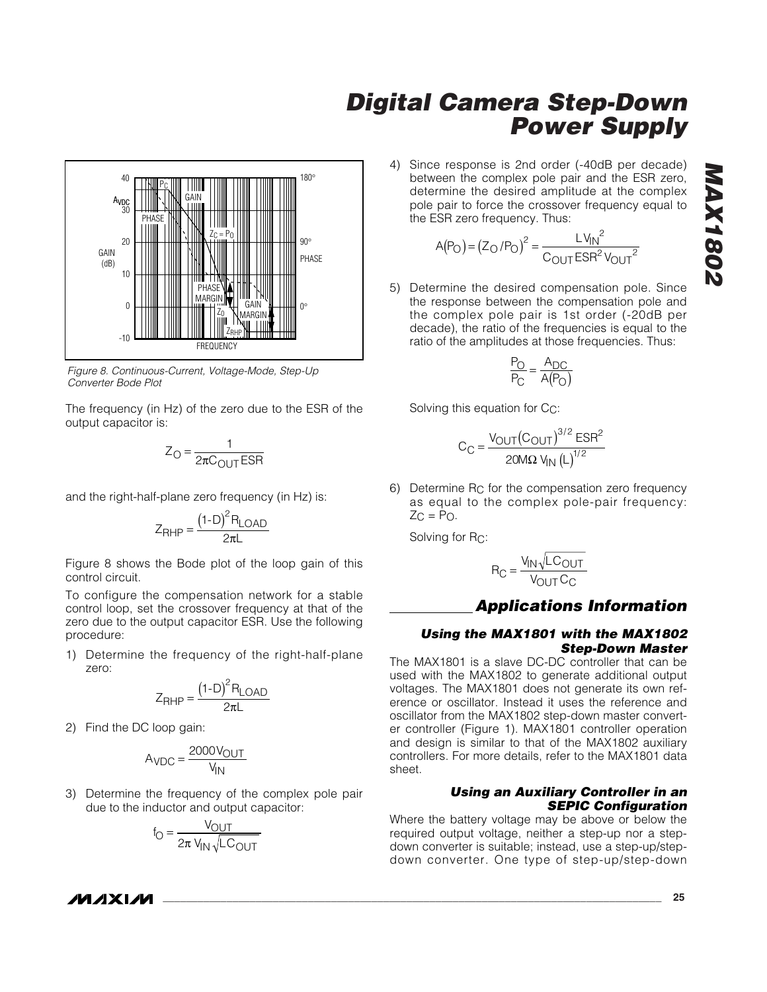

*Figure 8. Continuous-Current, Voltage-Mode, Step-Up Converter Bode Plot*

The frequency (in Hz) of the zero due to the ESR of the output capacitor is:

$$
Z_{\rm O} = \frac{1}{2\pi C_{\rm OUT}ESR}
$$

and the right-half-plane zero frequency (in Hz) is:

$$
Z_{RHP} = \frac{(1-D)^2 R_{LOAD}}{2\pi L}
$$

Figure 8 shows the Bode plot of the loop gain of this control circuit.

To configure the compensation network for a stable control loop, set the crossover frequency at that of the zero due to the output capacitor ESR. Use the following procedure:

1) Determine the frequency of the right-half-plane zero:

$$
Z_{RHP} = \frac{(1-D)^2 R_{LOAD}}{2\pi L}
$$

2) Find the DC loop gain:

$$
A_{\text{VDC}} = \frac{2000 \text{V}_{\text{OUT}}}{\text{V}_{\text{IN}}}
$$

3) Determine the frequency of the complex pole pair due to the inductor and output capacitor:

$$
f_{\text{O}} = \frac{V_{\text{OUT}}}{2\pi V_{\text{IN}}\sqrt{LC_{\text{OUT}}}}
$$

4) Since response is 2nd order (-40dB per decade) between the complex pole pair and the ESR zero, determine the desired amplitude at the complex pole pair to force the crossover frequency equal to the ESR zero frequency. Thus:

$$
A(P_O) = (Z_O/P_O)^2 = \frac{LV_{IN}^2}{C_{OUT}ESR^2V_{OUT}^2}
$$

5) Determine the desired compensation pole. Since the response between the compensation pole and the complex pole pair is 1st order (-20dB per decade), the ratio of the frequencies is equal to the ratio of the amplitudes at those frequencies. Thus:

$$
\frac{P_O}{P_C} = \frac{A_{DC}}{A(P_O)}
$$

Solving this equation for CC:

$$
C_{C} = \frac{V_{OUT}(C_{OUT})^{3/2} ESR^{2}}{20M\Omega V_{IN} (L)^{1/2}}
$$

6) Determine RC for the compensation zero frequency as equal to the complex pole-pair frequency:  $Z<sub>C</sub> = Po.$ 

Solving for RC:

$$
R_C = \frac{V_{IN} \sqrt{LC_{OUT}}}{V_{OUT} C_C}
$$

### *Applications Information*

#### *Using the MAX1801 with the MAX1802 Step-Down Master*

The MAX1801 is a slave DC-DC controller that can be used with the MAX1802 to generate additional output voltages. The MAX1801 does not generate its own reference or oscillator. Instead it uses the reference and oscillator from the MAX1802 step-down master converter controller (Figure 1). MAX1801 controller operation and design is similar to that of the MAX1802 auxiliary controllers. For more details, refer to the MAX1801 data sheet.

#### *Using an Auxiliary Controller in an SEPIC Configuration*

Where the battery voltage may be above or below the required output voltage, neither a step-up nor a stepdown converter is suitable; instead, use a step-up/stepdown converter. One type of step-up/step-down

**MAXM**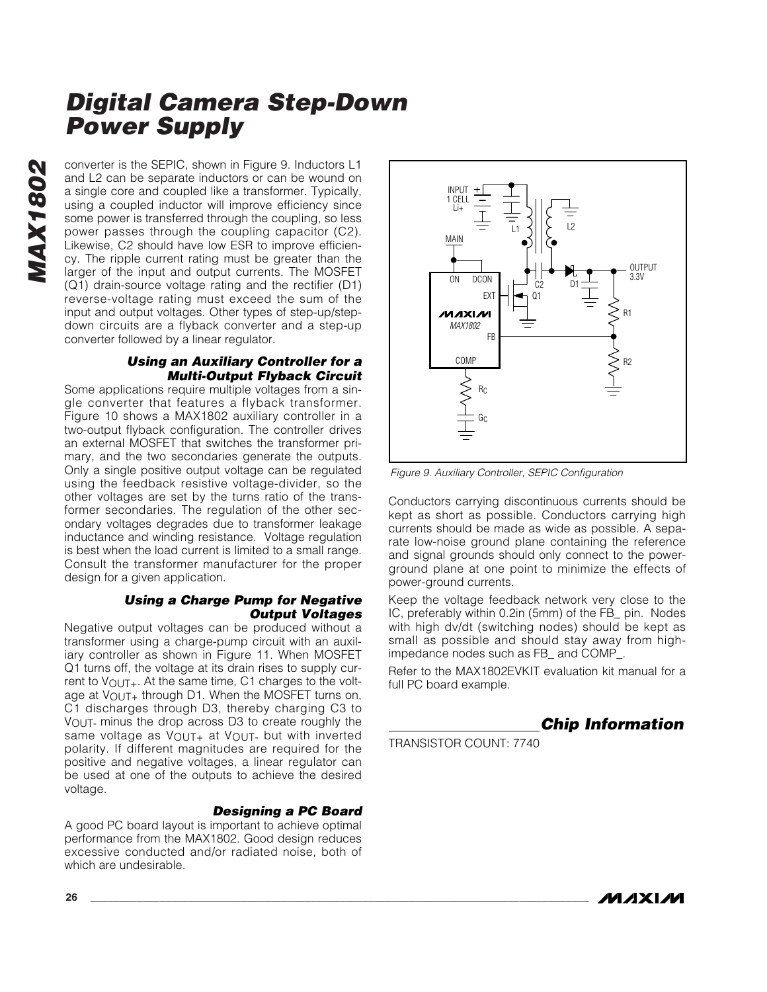*MAX1802* **MAX1802** 

converter is the SEPIC, shown in Figure 9. Inductors L1 and L2 can be separate inductors or can be wound on a single core and coupled like a transformer. Typically, using a coupled inductor will improve efficiency since some power is transferred through the coupling, so less power passes through the coupling capacitor (C2). Likewise, C2 should have low ESR to improve efficiency. The ripple current rating must be greater than the larger of the input and output currents. The MOSFET (Q1) drain-source voltage rating and the rectifier (D1) reverse-voltage rating must exceed the sum of the input and output voltages. Other types of step-up/stepdown circuits are a flyback converter and a step-up converter followed by a linear regulator.

### *Using an Auxiliary Controller for a Multi-Output Flyback Circuit*

Some applications require multiple voltages from a single converter that features a flyback transformer. Figure 10 shows a MAX1802 auxiliary controller in a two-output flyback configuration. The controller drives an external MOSFET that switches the transformer primary, and the two secondaries generate the outputs. Only a single positive output voltage can be regulated using the feedback resistive voltage-divider, so the other voltages are set by the turns ratio of the transformer secondaries. The regulation of the other secondary voltages degrades due to transformer leakage inductance and winding resistance. Voltage regulation is best when the load current is limited to a small range. Consult the transformer manufacturer for the proper design for a given application.

### *Using a Charge Pump for Negative Output Voltages*

Negative output voltages can be produced without a transformer using a charge-pump circuit with an auxiliary controller as shown in Figure 11. When MOSFET Q1 turns off, the voltage at its drain rises to supply current to V<sub>OUT+</sub>. At the same time, C1 charges to the voltage at  $V_{\text{OUT+}}$  through D1. When the MOSFET turns on, C1 discharges through D3, thereby charging C3 to VOUT- minus the drop across D3 to create roughly the same voltage as VOUT+ at VOUT- but with inverted polarity. If different magnitudes are required for the positive and negative voltages, a linear regulator can be used at one of the outputs to achieve the desired voltage.

### *Designing a PC Board*

A good PC board layout is important to achieve optimal performance from the MAX1802. Good design reduces excessive conducted and/or radiated noise, both of which are undesirable.



*Figure 9. Auxiliary Controller, SEPIC Configuration*

Conductors carrying discontinuous currents should be kept as short as possible. Conductors carrying high currents should be made as wide as possible. A separate low-noise ground plane containing the reference and signal grounds should only connect to the powerground plane at one point to minimize the effects of power-ground currents.

Keep the voltage feedback network very close to the IC, preferably within 0.2in (5mm) of the FB\_ pin. Nodes with high dv/dt (switching nodes) should be kept as small as possible and should stay away from highimpedance nodes such as FB\_ and COMP\_.

Refer to the MAX1802EVKIT evaluation kit manual for a full PC board example.

*Chip Information*

TRANSISTOR COUNT: 7740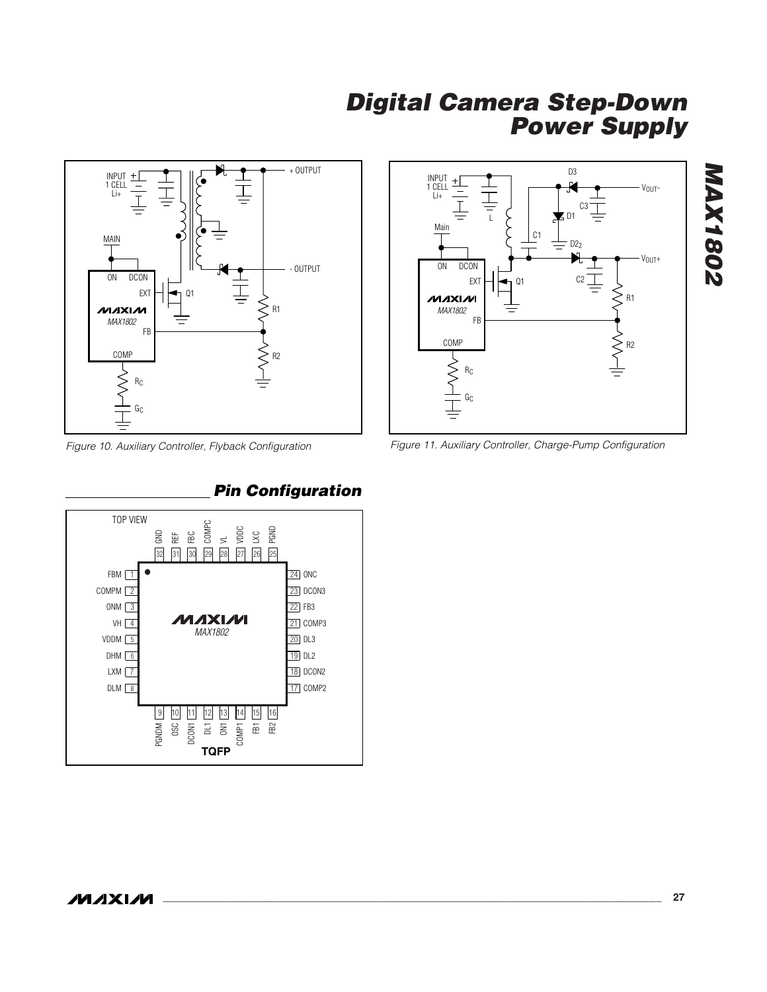



*Figure 10. Auxiliary Controller, Flyback Configuration*



### *Pin Configuration*

*Figure 11. Auxiliary Controller, Charge-Pump Configuration*

*MAX1802*

**MAX1802**